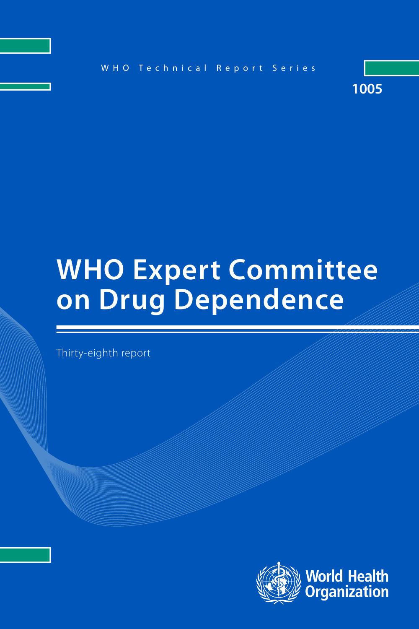

# **WHO Expert Committee on Drug Dependence**

Thirty-eighth report

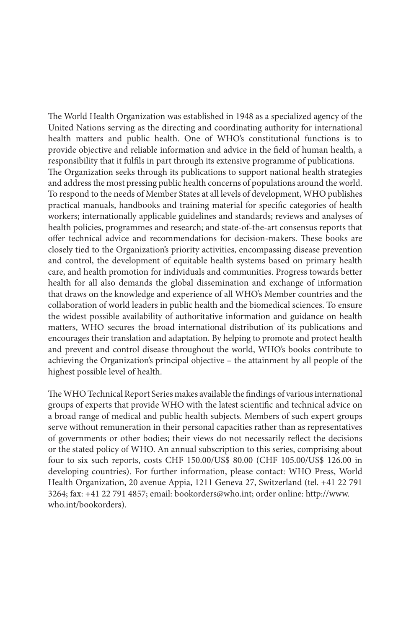The World Health Organization was established in 1948 as a specialized agency of the United Nations serving as the directing and coordinating authority for international health matters and public health. One of WHO's constitutional functions is to provide objective and reliable information and advice in the field of human health, a responsibility that it fulfils in part through its extensive programme of publications. The Organization seeks through its publications to support national health strategies and address the most pressing public health concerns of populations around the world. To respond to the needs of Member States at all levels of development, WHO publishes practical manuals, handbooks and training material for specific categories of health workers; internationally applicable guidelines and standards; reviews and analyses of health policies, programmes and research; and state-of-the-art consensus reports that offer technical advice and recommendations for decision-makers. These books are closely tied to the Organization's priority activities, encompassing disease prevention and control, the development of equitable health systems based on primary health care, and health promotion for individuals and communities. Progress towards better health for all also demands the global dissemination and exchange of information that draws on the knowledge and experience of all WHO's Member countries and the collaboration of world leaders in public health and the biomedical sciences. To ensure the widest possible availability of authoritative information and guidance on health matters, WHO secures the broad international distribution of its publications and encourages their translation and adaptation. By helping to promote and protect health and prevent and control disease throughout the world, WHO's books contribute to achieving the Organization's principal objective – the attainment by all people of the highest possible level of health.

The WHO Technical Report Series makes available the findings of various international groups of experts that provide WHO with the latest scientific and technical advice on a broad range of medical and public health subjects. Members of such expert groups serve without remuneration in their personal capacities rather than as representatives of governments or other bodies; their views do not necessarily reflect the decisions or the stated policy of WHO. An annual subscription to this series, comprising about four to six such reports, costs CHF 150.00/US\$ 80.00 (CHF 105.00/US\$ 126.00 in developing countries). For further information, please contact: WHO Press, World Health Organization, 20 avenue Appia, 1211 Geneva 27, Switzerland (tel. +41 22 791 3264; fax: +41 22 791 4857; email: bookorders@who.int; order online: http://www. who.int/bookorders).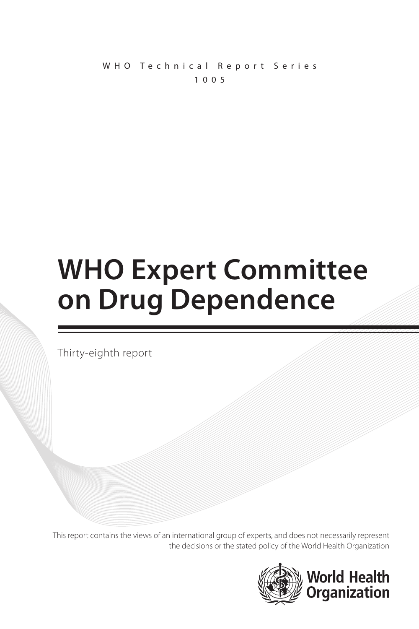WHO Technical Report Series 1005

# **WHO Expert Committee on Drug Dependence**

Thirty-eighth report

This report contains the views of an international group of experts, and does not necessarily represent the decisions or the stated policy of the World Health Organization

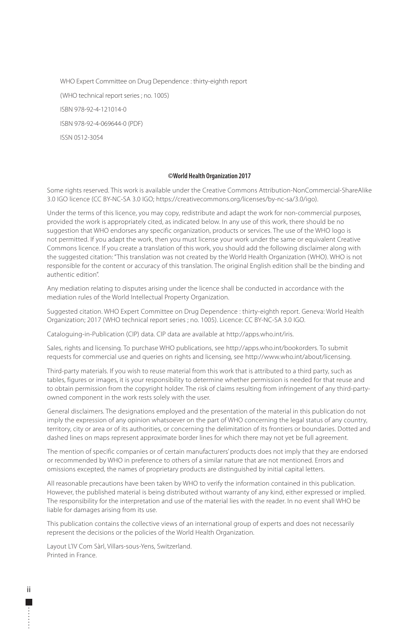WHO Expert Committee on Drug Dependence : thirty-eighth report (WHO technical report series ; no. 1005) ISBN 978-92-4-121014-0 ISBN 978-92-4-069644-0 (PDF) ISSN 0512-3054

#### **©World Health Organization 2017**

Some rights reserved. This work is available under the Creative Commons Attribution-NonCommercial-ShareAlike 3.0 IGO licence (CC BY-NC-SA 3.0 IGO; https://creativecommons.org/licenses/by-nc-sa/3.0/igo).

Under the terms of this licence, you may copy, redistribute and adapt the work for non-commercial purposes, provided the work is appropriately cited, as indicated below. In any use of this work, there should be no suggestion that WHO endorses any specific organization, products or services. The use of the WHO logo is not permitted. If you adapt the work, then you must license your work under the same or equivalent Creative Commons licence. If you create a translation of this work, you should add the following disclaimer along with the suggested citation: "This translation was not created by the World Health Organization (WHO). WHO is not responsible for the content or accuracy of this translation. The original English edition shall be the binding and authentic edition".

Any mediation relating to disputes arising under the licence shall be conducted in accordance with the mediation rules of the World Intellectual Property Organization.

Suggested citation. WHO Expert Committee on Drug Dependence : thirty-eighth report. Geneva: World Health Organization; 2017 (WHO technical report series ; no. 1005). Licence: CC BY-NC-SA 3.0 IGO.

Cataloguing-in-Publication (CIP) data. CIP data are available at http://apps.who.int/iris.

Sales, rights and licensing. To purchase WHO publications, see http://apps.who.int/bookorders. To submit requests for commercial use and queries on rights and licensing, see http://www.who.int/about/licensing.

Third-party materials. If you wish to reuse material from this work that is attributed to a third party, such as tables, figures or images, it is your responsibility to determine whether permission is needed for that reuse and to obtain permission from the copyright holder. The risk of claims resulting from infringement of any third-partyowned component in the work rests solely with the user.

General disclaimers. The designations employed and the presentation of the material in this publication do not imply the expression of any opinion whatsoever on the part of WHO concerning the legal status of any country, territory, city or area or of its authorities, or concerning the delimitation of its frontiers or boundaries. Dotted and dashed lines on maps represent approximate border lines for which there may not yet be full agreement.

The mention of specific companies or of certain manufacturers' products does not imply that they are endorsed or recommended by WHO in preference to others of a similar nature that are not mentioned. Errors and omissions excepted, the names of proprietary products are distinguished by initial capital letters.

All reasonable precautions have been taken by WHO to verify the information contained in this publication. However, the published material is being distributed without warranty of any kind, either expressed or implied. The responsibility for the interpretation and use of the material lies with the reader. In no event shall WHO be liable for damages arising from its use.

This publication contains the collective views of an international group of experts and does not necessarily represent the decisions or the policies of the World Health Organization.

Layout L'IV Com Sàrl, Villars-sous-Yens, Switzerland. Printed in France.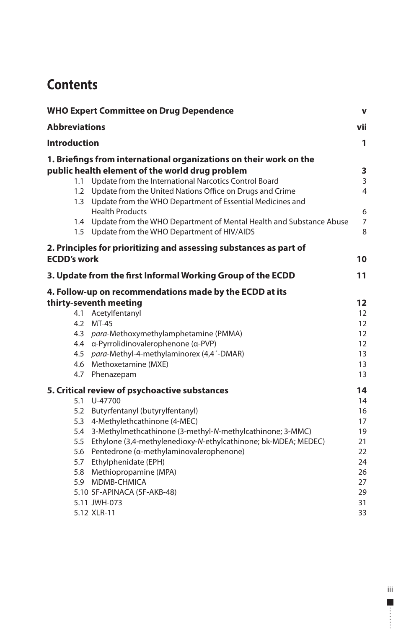# **Contents**

| <b>WHO Expert Committee on Drug Dependence</b><br><b>Abbreviations</b> |                                                                                                                       | $\mathbf v$<br>vii |
|------------------------------------------------------------------------|-----------------------------------------------------------------------------------------------------------------------|--------------------|
|                                                                        |                                                                                                                       |                    |
|                                                                        | 1. Briefings from international organizations on their work on the                                                    |                    |
|                                                                        | public health element of the world drug problem                                                                       | 3                  |
| 1.1                                                                    | Update from the International Narcotics Control Board                                                                 | 3                  |
| 1.2<br>1.3                                                             | Update from the United Nations Office on Drugs and Crime<br>Update from the WHO Department of Essential Medicines and | 4                  |
|                                                                        | <b>Health Products</b>                                                                                                | 6                  |
| 1.4                                                                    | Update from the WHO Department of Mental Health and Substance Abuse<br>1.5 Update from the WHO Department of HIV/AIDS | 7<br>8             |
|                                                                        | 2. Principles for prioritizing and assessing substances as part of                                                    |                    |
| <b>ECDD's work</b>                                                     |                                                                                                                       | 10                 |
|                                                                        | 3. Update from the first Informal Working Group of the ECDD                                                           | 11                 |
|                                                                        | 4. Follow-up on recommendations made by the ECDD at its                                                               |                    |
|                                                                        | thirty-seventh meeting                                                                                                | 12                 |
| 4.1                                                                    | Acetylfentanyl                                                                                                        | 12                 |
| 4.2                                                                    | MT-45                                                                                                                 | 12                 |
| 4.3                                                                    | para-Methoxymethylamphetamine (PMMA)                                                                                  | 12                 |
| 4.4                                                                    | α-Pyrrolidinovalerophenone (α-PVP)                                                                                    | 12                 |
| 4.5                                                                    | para-Methyl-4-methylaminorex (4,4'-DMAR)                                                                              | 13                 |
|                                                                        | 4.6 Methoxetamine (MXE)                                                                                               | 13                 |
|                                                                        | 4.7 Phenazepam                                                                                                        | 13                 |
|                                                                        | 5. Critical review of psychoactive substances                                                                         | 14                 |
| 5.1                                                                    | U-47700                                                                                                               | 14                 |
| 5.2                                                                    | Butyrfentanyl (butyrylfentanyl)                                                                                       | 16                 |
| 5.3                                                                    | 4-Methylethcathinone (4-MEC)                                                                                          | 17                 |
| 5.4                                                                    | 3-Methylmethcathinone (3-methyl-N-methylcathinone; 3-MMC)                                                             | 19                 |
| 5.5                                                                    | Ethylone (3,4-methylenedioxy-N-ethylcathinone; bk-MDEA; MEDEC)                                                        | 21                 |
| 5.6                                                                    | Pentedrone (a-methylaminovalerophenone)                                                                               | 22                 |
| 5.7                                                                    | Ethylphenidate (EPH)                                                                                                  | 24                 |
| 5.8                                                                    | Methiopropamine (MPA)                                                                                                 | 26                 |
|                                                                        | 5.9 MDMB-CHMICA                                                                                                       | 27                 |
|                                                                        | 5.10 5F-APINACA (5F-AKB-48)<br>5.11 JWH-073                                                                           | 29                 |
|                                                                        | 5.12 XLR-11                                                                                                           | 31<br>33           |
|                                                                        |                                                                                                                       |                    |

iii  $\overline{\phantom{a}}$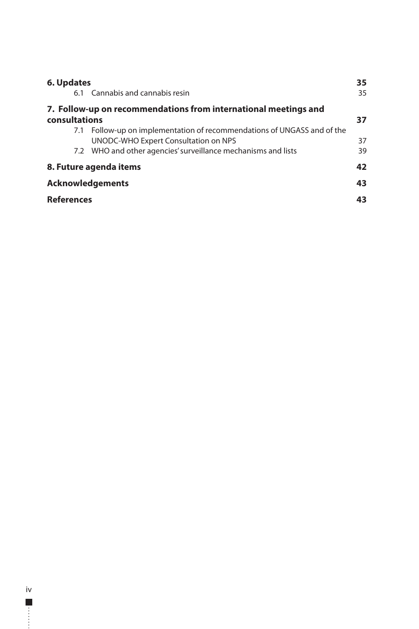| 6. Updates                                                              |                                                                         |  |
|-------------------------------------------------------------------------|-------------------------------------------------------------------------|--|
|                                                                         | 35                                                                      |  |
| 7. Follow-up on recommendations from international meetings and         |                                                                         |  |
| consultations                                                           |                                                                         |  |
| 7.1 Follow-up on implementation of recommendations of UNGASS and of the | 37                                                                      |  |
| 7.2 WHO and other agencies' surveillance mechanisms and lists           | 39                                                                      |  |
| 8. Future agenda items                                                  |                                                                         |  |
| <b>Acknowledgements</b>                                                 |                                                                         |  |
| <b>References</b>                                                       |                                                                         |  |
|                                                                         | 6.1 Cannabis and cannabis resin<br>UNODC-WHO Expert Consultation on NPS |  |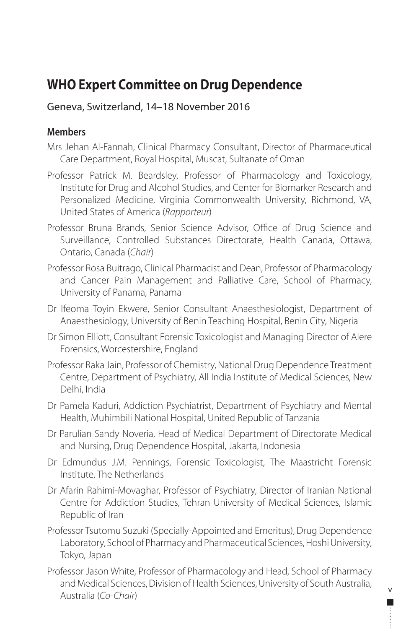# <span id="page-6-0"></span>**WHO Expert Committee on Drug Dependence**

# Geneva, Switzerland, 14–18 November 2016

# **Members**

- Mrs Jehan Al-Fannah, Clinical Pharmacy Consultant, Director of Pharmaceutical Care Department, Royal Hospital, Muscat, Sultanate of Oman
- Professor Patrick M. Beardsley, Professor of Pharmacology and Toxicology, Institute for Drug and Alcohol Studies, and Center for Biomarker Research and Personalized Medicine, Virginia Commonwealth University, Richmond, VA, United States of America (*Rapporteur*)
- Professor Bruna Brands, Senior Science Advisor, Office of Drug Science and Surveillance, Controlled Substances Directorate, Health Canada, Ottawa, Ontario, Canada (*Chair*)
- Professor Rosa Buitrago, Clinical Pharmacist and Dean, Professor of Pharmacology and Cancer Pain Management and Palliative Care, School of Pharmacy, University of Panama, Panama
- Dr Ifeoma Toyin Ekwere, Senior Consultant Anaesthesiologist, Department of Anaesthesiology, University of Benin Teaching Hospital, Benin City, Nigeria
- Dr Simon Elliott, Consultant Forensic Toxicologist and Managing Director of Alere Forensics, Worcestershire, England
- Professor Raka Jain, Professor of Chemistry, National Drug Dependence Treatment Centre, Department of Psychiatry, All India Institute of Medical Sciences, New Delhi, India
- Dr Pamela Kaduri, Addiction Psychiatrist, Department of Psychiatry and Mental Health, Muhimbili National Hospital, United Republic of Tanzania
- Dr Parulian Sandy Noveria, Head of Medical Department of Directorate Medical and Nursing, Drug Dependence Hospital, Jakarta, Indonesia
- Dr Edmundus J.M. Pennings, Forensic Toxicologist, The Maastricht Forensic Institute, The Netherlands
- Dr Afarin Rahimi-Movaghar, Professor of Psychiatry, Director of Iranian National Centre for Addiction Studies, Tehran University of Medical Sciences, Islamic Republic of Iran
- Professor Tsutomu Suzuki (Specially-Appointed and Emeritus), Drug Dependence Laboratory, School of Pharmacy and Pharmaceutical Sciences, Hoshi University, Tokyo, Japan
- Professor Jason White, Professor of Pharmacology and Head, School of Pharmacy and Medical Sciences, Division of Health Sciences, University of South Australia, Australia (*Co-Chair*)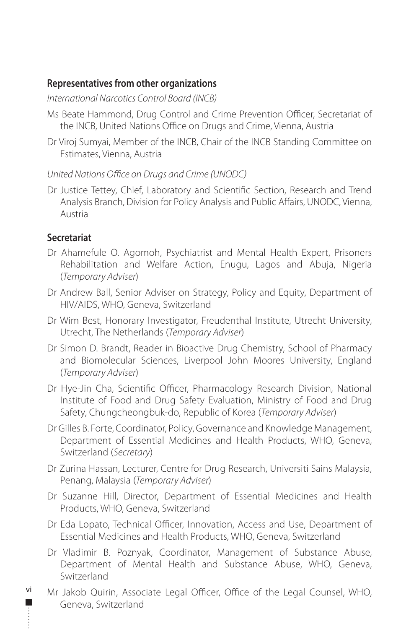## **Representatives from other organizations**

*International Narcotics Control Board (INCB)* 

- Ms Beate Hammond, Drug Control and Crime Prevention Officer, Secretariat of the INCB, United Nations Office on Drugs and Crime, Vienna, Austria
- Dr Viroj Sumyai, Member of the INCB, Chair of the INCB Standing Committee on Estimates, Vienna, Austria

#### *United Nations Office on Drugs and Crime (UNODC)*

Dr Justice Tettey, Chief, Laboratory and Scientific Section, Research and Trend Analysis Branch, Division for Policy Analysis and Public Affairs, UNODC, Vienna, Austria

## **Secretariat**

vi

- Dr Ahamefule O. Agomoh, Psychiatrist and Mental Health Expert, Prisoners Rehabilitation and Welfare Action, Enugu, Lagos and Abuja, Nigeria (*Temporary Adviser*)
- Dr Andrew Ball, Senior Adviser on Strategy, Policy and Equity, Department of HIV/AIDS, WHO, Geneva, Switzerland
- Dr Wim Best, Honorary Investigator, Freudenthal Institute, Utrecht University, Utrecht, The Netherlands (*Temporary Adviser*)
- Dr Simon D. Brandt, Reader in Bioactive Drug Chemistry, School of Pharmacy and Biomolecular Sciences, Liverpool John Moores University, England (*Temporary Adviser*)
- Dr Hye-Jin Cha, Scientific Officer, Pharmacology Research Division, National Institute of Food and Drug Safety Evaluation, Ministry of Food and Drug Safety, Chungcheongbuk-do, Republic of Korea (*Temporary Adviser*)
- Dr Gilles B. Forte, Coordinator, Policy, Governance and Knowledge Management, Department of Essential Medicines and Health Products, WHO, Geneva, Switzerland (*Secretary*)
- Dr Zurina Hassan, Lecturer, Centre for Drug Research, Universiti Sains Malaysia, Penang, Malaysia (*Temporary Adviser*)
- Dr Suzanne Hill, Director, Department of Essential Medicines and Health Products, WHO, Geneva, Switzerland
- Dr Eda Lopato, Technical Officer, Innovation, Access and Use, Department of Essential Medicines and Health Products, WHO, Geneva, Switzerland
- Dr Vladimir B. Poznyak, Coordinator, Management of Substance Abuse, Department of Mental Health and Substance Abuse, WHO, Geneva, Switzerland
- Mr Jakob Quirin, Associate Legal Officer, Office of the Legal Counsel, WHO, Geneva, Switzerland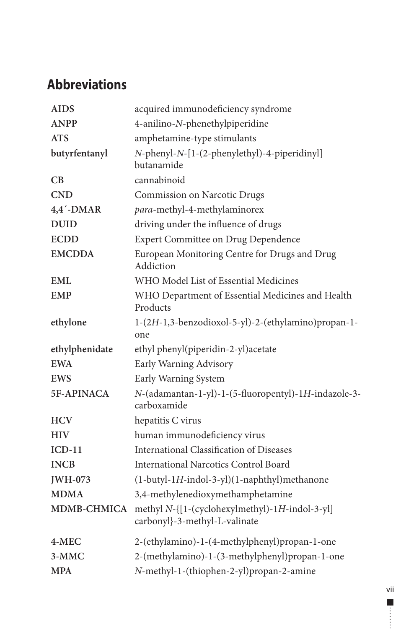# <span id="page-8-0"></span>**Abbreviations**

| <b>AIDS</b>        | acquired immunodeficiency syndrome                                              |
|--------------------|---------------------------------------------------------------------------------|
| <b>ANPP</b>        | 4-anilino-N-phenethylpiperidine                                                 |
| <b>ATS</b>         | amphetamine-type stimulants                                                     |
| butyrfentanyl      | N-phenyl-N-[1-(2-phenylethyl)-4-piperidinyl]<br>butanamide                      |
| CВ                 | cannabinoid                                                                     |
| <b>CND</b>         | Commission on Narcotic Drugs                                                    |
| $4,4'$ -DMAR       | para-methyl-4-methylaminorex                                                    |
| <b>DUID</b>        | driving under the influence of drugs                                            |
| <b>ECDD</b>        | <b>Expert Committee on Drug Dependence</b>                                      |
| <b>EMCDDA</b>      | European Monitoring Centre for Drugs and Drug<br>Addiction                      |
| <b>EML</b>         | WHO Model List of Essential Medicines                                           |
| <b>EMP</b>         | WHO Department of Essential Medicines and Health<br>Products                    |
| ethylone           | 1-(2H-1,3-benzodioxol-5-yl)-2-(ethylamino)propan-1-<br>one                      |
| ethylphenidate     | ethyl phenyl(piperidin-2-yl)acetate                                             |
| <b>EWA</b>         | Early Warning Advisory                                                          |
| <b>EWS</b>         | Early Warning System                                                            |
| 5F-APINACA         | N-(adamantan-1-yl)-1-(5-fluoropentyl)-1H-indazole-3-<br>carboxamide             |
| <b>HCV</b>         | hepatitis C virus                                                               |
| <b>HIV</b>         | human immunodeficiency virus                                                    |
| $ICD-11$           | <b>International Classification of Diseases</b>                                 |
| <b>INCB</b>        | International Narcotics Control Board                                           |
| <b>JWH-073</b>     | (1-butyl-1H-indol-3-yl)(1-naphthyl)methanone                                    |
| <b>MDMA</b>        | 3,4-methylenedioxymethamphetamine                                               |
| <b>MDMB-CHMICA</b> | methyl N-{[1-(cyclohexylmethyl)-1H-indol-3-yl]<br>carbonyl}-3-methyl-L-valinate |
| $4-MEC$            | 2-(ethylamino)-1-(4-methylphenyl)propan-1-one                                   |
| 3-MMC              | 2-(methylamino)-1-(3-methylphenyl)propan-1-one                                  |
| <b>MPA</b>         | N-methyl-1-(thiophen-2-yl)propan-2-amine                                        |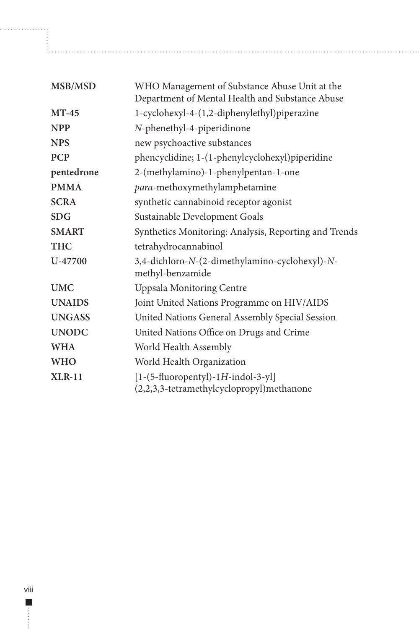| MSB/MSD       | WHO Management of Substance Abuse Unit at the<br>Department of Mental Health and Substance Abuse |
|---------------|--------------------------------------------------------------------------------------------------|
| $MT-45$       | 1-cyclohexyl-4-(1,2-diphenylethyl)piperazine                                                     |
| <b>NPP</b>    | N-phenethyl-4-piperidinone                                                                       |
| <b>NPS</b>    | new psychoactive substances                                                                      |
| <b>PCP</b>    | phencyclidine; 1-(1-phenylcyclohexyl)piperidine                                                  |
| pentedrone    | 2-(methylamino)-1-phenylpentan-1-one                                                             |
| <b>PMMA</b>   | para-methoxymethylamphetamine                                                                    |
| <b>SCRA</b>   | synthetic cannabinoid receptor agonist                                                           |
| SDG           | Sustainable Development Goals                                                                    |
| <b>SMART</b>  | Synthetics Monitoring: Analysis, Reporting and Trends                                            |
| <b>THC</b>    | tetrahydrocannabinol                                                                             |
| U-47700       | 3,4-dichloro-N-(2-dimethylamino-cyclohexyl)-N-<br>methyl-benzamide                               |
| <b>UMC</b>    | <b>Uppsala Monitoring Centre</b>                                                                 |
| <b>UNAIDS</b> | Joint United Nations Programme on HIV/AIDS                                                       |
| <b>UNGASS</b> | United Nations General Assembly Special Session                                                  |
| <b>UNODC</b>  | United Nations Office on Drugs and Crime                                                         |
| <b>TATTY</b>  | TAT 11 TT 1.1 A 11                                                                               |

**WHA** World Health Assembly **WHO** World Health Organization **XLR-11** [1-(5-fluoropentyl)-1*H*-indol-3-yl]

(2,2,3,3-tetramethylcyclopropyl)methanone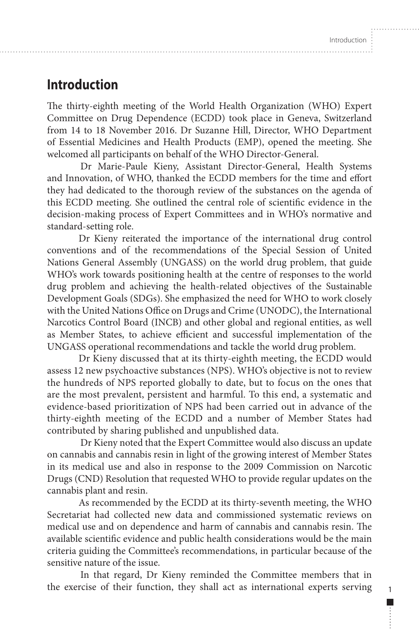1

П

# <span id="page-10-0"></span>**Introduction**

The thirty-eighth meeting of the World Health Organization (WHO) Expert Committee on Drug Dependence (ECDD) took place in Geneva, Switzerland from 14 to 18 November 2016. Dr Suzanne Hill, Director, WHO Department of Essential Medicines and Health Products (EMP), opened the meeting. She welcomed all participants on behalf of the WHO Director-General.

Dr Marie-Paule Kieny, Assistant Director-General, Health Systems and Innovation, of WHO, thanked the ECDD members for the time and effort they had dedicated to the thorough review of the substances on the agenda of this ECDD meeting. She outlined the central role of scientific evidence in the decision-making process of Expert Committees and in WHO's normative and standard-setting role.

Dr Kieny reiterated the importance of the international drug control conventions and of the recommendations of the Special Session of United Nations General Assembly (UNGASS) on the world drug problem, that guide WHO's work towards positioning health at the centre of responses to the world drug problem and achieving the health-related objectives of the Sustainable Development Goals (SDGs). She emphasized the need for WHO to work closely with the United Nations Office on Drugs and Crime (UNODC), the International Narcotics Control Board (INCB) and other global and regional entities, as well as Member States, to achieve efficient and successful implementation of the UNGASS operational recommendations and tackle the world drug problem.

Dr Kieny discussed that at its thirty-eighth meeting, the ECDD would assess 12 new psychoactive substances (NPS). WHO's objective is not to review the hundreds of NPS reported globally to date, but to focus on the ones that are the most prevalent, persistent and harmful. To this end, a systematic and evidence-based prioritization of NPS had been carried out in advance of the thirty-eighth meeting of the ECDD and a number of Member States had contributed by sharing published and unpublished data.

Dr Kieny noted that the Expert Committee would also discuss an update on cannabis and cannabis resin in light of the growing interest of Member States in its medical use and also in response to the 2009 Commission on Narcotic Drugs (CND) Resolution that requested WHO to provide regular updates on the cannabis plant and resin.

As recommended by the ECDD at its thirty-seventh meeting, the WHO Secretariat had collected new data and commissioned systematic reviews on medical use and on dependence and harm of cannabis and cannabis resin. The available scientific evidence and public health considerations would be the main criteria guiding the Committee's recommendations, in particular because of the sensitive nature of the issue.

In that regard, Dr Kieny reminded the Committee members that in the exercise of their function, they shall act as international experts serving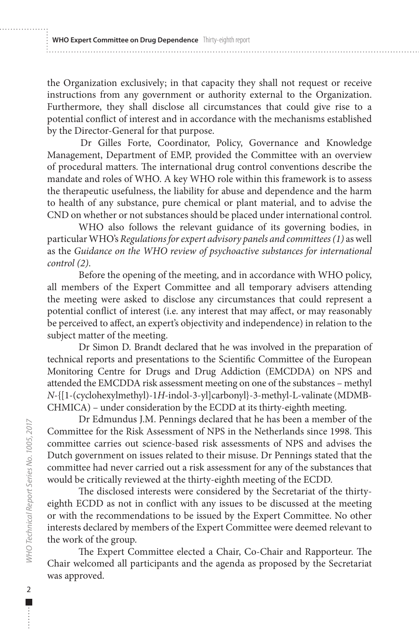the Organization exclusively; in that capacity they shall not request or receive instructions from any government or authority external to the Organization. Furthermore, they shall disclose all circumstances that could give rise to a potential conflict of interest and in accordance with the mechanisms established by the Director-General for that purpose.

Dr Gilles Forte, Coordinator, Policy, Governance and Knowledge Management, Department of EMP, provided the Committee with an overview of procedural matters. The international drug control conventions describe the mandate and roles of WHO. A key WHO role within this framework is to assess the therapeutic usefulness, the liability for abuse and dependence and the harm to health of any substance, pure chemical or plant material, and to advise the CND on whether or not substances should be placed under international control.

WHO also follows the relevant guidance of its governing bodies, in particular WHO's *Regulations for expert advisory panels and committees (1)* as well as the *Guidance on the WHO review of psychoactive substances for international control (2)*.

Before the opening of the meeting, and in accordance with WHO policy, all members of the Expert Committee and all temporary advisers attending the meeting were asked to disclose any circumstances that could represent a potential conflict of interest (i.e. any interest that may affect, or may reasonably be perceived to affect, an expert's objectivity and independence) in relation to the subject matter of the meeting.

Dr Simon D. Brandt declared that he was involved in the preparation of technical reports and presentations to the Scientific Committee of the European Monitoring Centre for Drugs and Drug Addiction (EMCDDA) on NPS and attended the EMCDDA risk assessment meeting on one of the substances – methyl *N*-{[1-(cyclohexylmethyl)-1*H*-indol-3-yl]carbonyl}-3-methyl-L-valinate (MDMB-CHMICA) – under consideration by the ECDD at its thirty-eighth meeting.

Dr Edmundus J.M. Pennings declared that he has been a member of the Committee for the Risk Assessment of NPS in the Netherlands since 1998. This committee carries out science-based risk assessments of NPS and advises the Dutch government on issues related to their misuse. Dr Pennings stated that the committee had never carried out a risk assessment for any of the substances that would be critically reviewed at the thirty-eighth meeting of the ECDD.

The disclosed interests were considered by the Secretariat of the thirtyeighth ECDD as not in conflict with any issues to be discussed at the meeting or with the recommendations to be issued by the Expert Committee. No other interests declared by members of the Expert Committee were deemed relevant to the work of the group.

The Expert Committee elected a Chair, Co-Chair and Rapporteur. The Chair welcomed all participants and the agenda as proposed by the Secretariat was approved.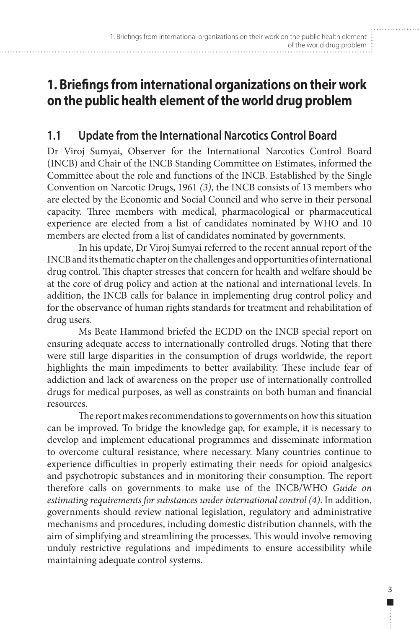# <span id="page-12-0"></span>**1. Briefings from international organizations on their work on the public health element of the world drug problem**

# **1.1 Update from the International Narcotics Control Board**

Dr Viroj Sumyai, Observer for the International Narcotics Control Board (INCB) and Chair of the INCB Standing Committee on Estimates, informed the Committee about the role and functions of the INCB. Established by the Single Convention on Narcotic Drugs, 1961 *(3)*, the INCB consists of 13 members who are elected by the Economic and Social Council and who serve in their personal capacity. Three members with medical, pharmacological or pharmaceutical experience are elected from a list of candidates nominated by WHO and 10 members are elected from a list of candidates nominated by governments.

In his update, Dr Viroj Sumyai referred to the recent annual report of the INCB and its thematic chapter on the challenges and opportunities of international drug control. This chapter stresses that concern for health and welfare should be at the core of drug policy and action at the national and international levels. In addition, the INCB calls for balance in implementing drug control policy and for the observance of human rights standards for treatment and rehabilitation of drug users.

Ms Beate Hammond briefed the ECDD on the INCB special report on ensuring adequate access to internationally controlled drugs. Noting that there were still large disparities in the consumption of drugs worldwide, the report highlights the main impediments to better availability. These include fear of addiction and lack of awareness on the proper use of internationally controlled drugs for medical purposes, as well as constraints on both human and financial resources.

The report makes recommendations to governments on how this situation can be improved. To bridge the knowledge gap, for example, it is necessary to develop and implement educational programmes and disseminate information to overcome cultural resistance, where necessary. Many countries continue to experience difficulties in properly estimating their needs for opioid analgesics and psychotropic substances and in monitoring their consumption. The report therefore calls on governments to make use of the INCB/WHO *Guide on estimating requirements for substances under international control (4)*. In addition, governments should review national legislation, regulatory and administrative mechanisms and procedures, including domestic distribution channels, with the aim of simplifying and streamlining the processes. This would involve removing unduly restrictive regulations and impediments to ensure accessibility while maintaining adequate control systems.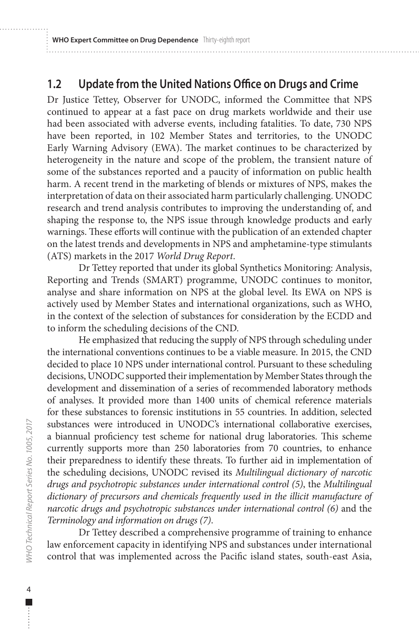# <span id="page-13-0"></span>**1.2 Update from the United Nations Office on Drugs and Crime**

Dr Justice Tettey, Observer for UNODC, informed the Committee that NPS continued to appear at a fast pace on drug markets worldwide and their use had been associated with adverse events, including fatalities. To date, 730 NPS have been reported, in 102 Member States and territories, to the UNODC Early Warning Advisory (EWA). The market continues to be characterized by heterogeneity in the nature and scope of the problem, the transient nature of some of the substances reported and a paucity of information on public health harm. A recent trend in the marketing of blends or mixtures of NPS, makes the interpretation of data on their associated harm particularly challenging. UNODC research and trend analysis contributes to improving the understanding of, and shaping the response to, the NPS issue through knowledge products and early warnings. These efforts will continue with the publication of an extended chapter on the latest trends and developments in NPS and amphetamine-type stimulants (ATS) markets in the 2017 *World Drug Report*.

Dr Tettey reported that under its global Synthetics Monitoring: Analysis, Reporting and Trends (SMART) programme, UNODC continues to monitor, analyse and share information on NPS at the global level. Its EWA on NPS is actively used by Member States and international organizations, such as WHO, in the context of the selection of substances for consideration by the ECDD and to inform the scheduling decisions of the CND.

He emphasized that reducing the supply of NPS through scheduling under the international conventions continues to be a viable measure. In 2015, the CND decided to place 10 NPS under international control. Pursuant to these scheduling decisions, UNODC supported their implementation by Member States through the development and dissemination of a series of recommended laboratory methods of analyses. It provided more than 1400 units of chemical reference materials for these substances to forensic institutions in 55 countries. In addition, selected substances were introduced in UNODC's international collaborative exercises, a biannual proficiency test scheme for national drug laboratories. This scheme currently supports more than 250 laboratories from 70 countries, to enhance their preparedness to identify these threats. To further aid in implementation of the scheduling decisions, UNODC revised its *Multilingual dictionary of narcotic drugs and psychotropic substances under international control (5)*, the *Multilingual dictionary of precursors and chemicals frequently used in the illicit manufacture of narcotic drugs and psychotropic substances under international control (6)* and the *Terminology and information on drugs (7)*.

Dr Tettey described a comprehensive programme of training to enhance law enforcement capacity in identifying NPS and substances under international control that was implemented across the Pacific island states, south-east Asia,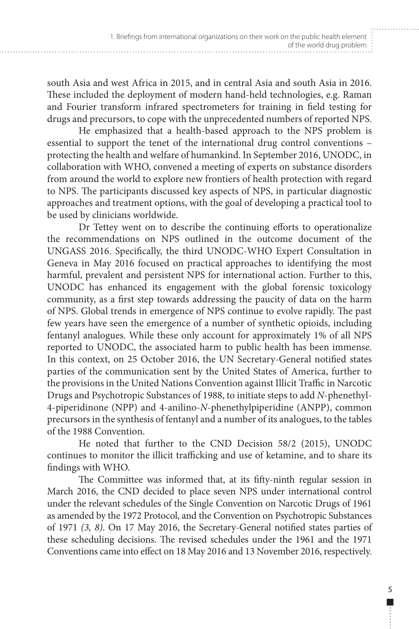south Asia and west Africa in 2015, and in central Asia and south Asia in 2016. These included the deployment of modern hand-held technologies, e.g. Raman and Fourier transform infrared spectrometers for training in field testing for drugs and precursors, to cope with the unprecedented numbers of reported NPS.

He emphasized that a health-based approach to the NPS problem is essential to support the tenet of the international drug control conventions – protecting the health and welfare of humankind. In September 2016, UNODC, in collaboration with WHO, convened a meeting of experts on substance disorders from around the world to explore new frontiers of health protection with regard to NPS. The participants discussed key aspects of NPS, in particular diagnostic approaches and treatment options, with the goal of developing a practical tool to be used by clinicians worldwide.

Dr Tettey went on to describe the continuing efforts to operationalize the recommendations on NPS outlined in the outcome document of the UNGASS 2016. Specifically, the third UNODC-WHO Expert Consultation in Geneva in May 2016 focused on practical approaches to identifying the most harmful, prevalent and persistent NPS for international action. Further to this, UNODC has enhanced its engagement with the global forensic toxicology community, as a first step towards addressing the paucity of data on the harm of NPS. Global trends in emergence of NPS continue to evolve rapidly. The past few years have seen the emergence of a number of synthetic opioids, including fentanyl analogues. While these only account for approximately 1% of all NPS reported to UNODC, the associated harm to public health has been immense. In this context, on 25 October 2016, the UN Secretary-General notified states parties of the communication sent by the United States of America, further to the provisions in the United Nations Convention against Illicit Traffic in Narcotic Drugs and Psychotropic Substances of 1988, to initiate steps to add *N*-phenethyl-4-piperidinone (NPP) and 4-anilino-*N*-phenethylpiperidine (ANPP), common precursors in the synthesis of fentanyl and a number of its analogues, to the tables of the 1988 Convention.

He noted that further to the CND Decision 58/2 (2015), UNODC continues to monitor the illicit trafficking and use of ketamine, and to share its findings with WHO.

The Committee was informed that, at its fifty-ninth regular session in March 2016, the CND decided to place seven NPS under international control under the relevant schedules of the Single Convention on Narcotic Drugs of 1961 as amended by the 1972 Protocol, and the Convention on Psychotropic Substances of 1971 *(3, 8)*. On 17 May 2016, the Secretary-General notified states parties of these scheduling decisions. The revised schedules under the 1961 and the 1971 Conventions came into effect on 18 May 2016 and 13 November 2016, respectively.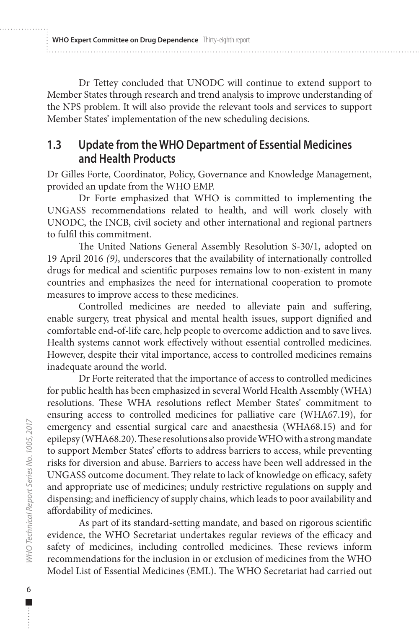<span id="page-15-0"></span>**WHO Expert Committee on Drug Dependence** Thirty-eighth report

Dr Tettey concluded that UNODC will continue to extend support to Member States through research and trend analysis to improve understanding of the NPS problem. It will also provide the relevant tools and services to support Member States' implementation of the new scheduling decisions.

# **1.3 Update from the WHO Department of Essential Medicines and Health Products**

Dr Gilles Forte, Coordinator, Policy, Governance and Knowledge Management, provided an update from the WHO EMP.

Dr Forte emphasized that WHO is committed to implementing the UNGASS recommendations related to health, and will work closely with UNODC, the INCB, civil society and other international and regional partners to fulfil this commitment.

The United Nations General Assembly Resolution S-30/1, adopted on 19 April 2016 *(9)*, underscores that the availability of internationally controlled drugs for medical and scientific purposes remains low to non-existent in many countries and emphasizes the need for international cooperation to promote measures to improve access to these medicines.

Controlled medicines are needed to alleviate pain and suffering, enable surgery, treat physical and mental health issues, support dignified and comfortable end-of-life care, help people to overcome addiction and to save lives. Health systems cannot work effectively without essential controlled medicines. However, despite their vital importance, access to controlled medicines remains inadequate around the world.

Dr Forte reiterated that the importance of access to controlled medicines for public health has been emphasized in several World Health Assembly (WHA) resolutions. These WHA resolutions reflect Member States' commitment to ensuring access to controlled medicines for palliative care (WHA67.19), for emergency and essential surgical care and anaesthesia (WHA68.15) and for epilepsy (WHA68.20). These resolutions also provide WHO with a strong mandate to support Member States' efforts to address barriers to access, while preventing risks for diversion and abuse. Barriers to access have been well addressed in the UNGASS outcome document. They relate to lack of knowledge on efficacy, safety and appropriate use of medicines; unduly restrictive regulations on supply and dispensing; and inefficiency of supply chains, which leads to poor availability and affordability of medicines.

As part of its standard-setting mandate, and based on rigorous scientific evidence, the WHO Secretariat undertakes regular reviews of the efficacy and safety of medicines, including controlled medicines. These reviews inform recommendations for the inclusion in or exclusion of medicines from the WHO Model List of Essential Medicines (EML). The WHO Secretariat had carried out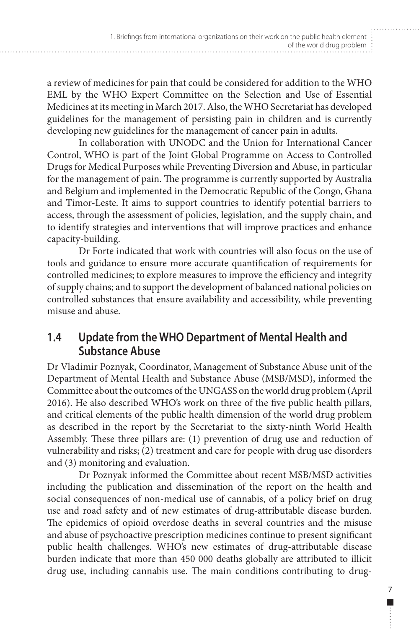<span id="page-16-0"></span>a review of medicines for pain that could be considered for addition to the WHO EML by the WHO Expert Committee on the Selection and Use of Essential Medicines at its meeting in March 2017. Also, the WHO Secretariat has developed guidelines for the management of persisting pain in children and is currently developing new guidelines for the management of cancer pain in adults.

In collaboration with UNODC and the Union for International Cancer Control, WHO is part of the Joint Global Programme on Access to Controlled Drugs for Medical Purposes while Preventing Diversion and Abuse, in particular for the management of pain. The programme is currently supported by Australia and Belgium and implemented in the Democratic Republic of the Congo, Ghana and Timor-Leste. It aims to support countries to identify potential barriers to access, through the assessment of policies, legislation, and the supply chain, and to identify strategies and interventions that will improve practices and enhance capacity-building.

Dr Forte indicated that work with countries will also focus on the use of tools and guidance to ensure more accurate quantification of requirements for controlled medicines; to explore measures to improve the efficiency and integrity of supply chains; and to support the development of balanced national policies on controlled substances that ensure availability and accessibility, while preventing misuse and abuse.

# **1.4 Update from the WHO Department of Mental Health and Substance Abuse**

Dr Vladimir Poznyak, Coordinator, Management of Substance Abuse unit of the Department of Mental Health and Substance Abuse (MSB/MSD), informed the Committee about the outcomes of the UNGASS on the world drug problem (April 2016). He also described WHO's work on three of the five public health pillars, and critical elements of the public health dimension of the world drug problem as described in the report by the Secretariat to the sixty-ninth World Health Assembly. These three pillars are: (1) prevention of drug use and reduction of vulnerability and risks; (2) treatment and care for people with drug use disorders and (3) monitoring and evaluation.

Dr Poznyak informed the Committee about recent MSB/MSD activities including the publication and dissemination of the report on the health and social consequences of non-medical use of cannabis, of a policy brief on drug use and road safety and of new estimates of drug-attributable disease burden. The epidemics of opioid overdose deaths in several countries and the misuse and abuse of psychoactive prescription medicines continue to present significant public health challenges. WHO's new estimates of drug-attributable disease burden indicate that more than 450 000 deaths globally are attributed to illicit drug use, including cannabis use. The main conditions contributing to drug-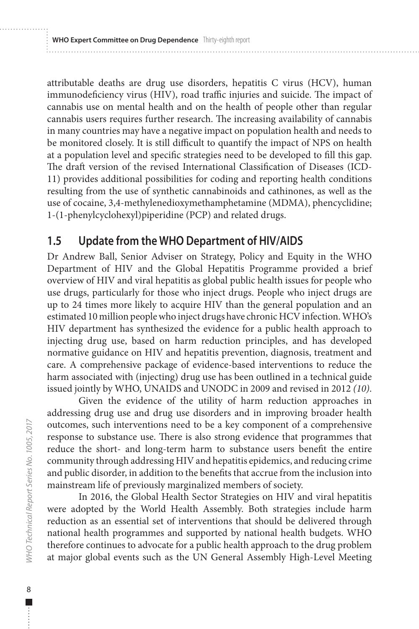<span id="page-17-0"></span>attributable deaths are drug use disorders, hepatitis C virus (HCV), human immunodeficiency virus (HIV), road traffic injuries and suicide. The impact of cannabis use on mental health and on the health of people other than regular cannabis users requires further research. The increasing availability of cannabis in many countries may have a negative impact on population health and needs to be monitored closely. It is still difficult to quantify the impact of NPS on health at a population level and specific strategies need to be developed to fill this gap. The draft version of the revised International Classification of Diseases (ICD-11) provides additional possibilities for coding and reporting health conditions resulting from the use of synthetic cannabinoids and cathinones, as well as the use of cocaine, 3,4-methylenedioxymethamphetamine (MDMA), phencyclidine; 1-(1-phenylcyclohexyl)piperidine (PCP) and related drugs.

# **1.5 Update from the WHO Department of HIV/AIDS**

Dr Andrew Ball, Senior Adviser on Strategy, Policy and Equity in the WHO Department of HIV and the Global Hepatitis Programme provided a brief overview of HIV and viral hepatitis as global public health issues for people who use drugs, particularly for those who inject drugs. People who inject drugs are up to 24 times more likely to acquire HIV than the general population and an estimated 10 million people who inject drugs have chronic HCV infection. WHO's HIV department has synthesized the evidence for a public health approach to injecting drug use, based on harm reduction principles, and has developed normative guidance on HIV and hepatitis prevention, diagnosis, treatment and care. A comprehensive package of evidence-based interventions to reduce the harm associated with (injecting) drug use has been outlined in a technical guide issued jointly by WHO, UNAIDS and UNODC in 2009 and revised in 2012 *(10)*.

Given the evidence of the utility of harm reduction approaches in addressing drug use and drug use disorders and in improving broader health outcomes, such interventions need to be a key component of a comprehensive response to substance use. There is also strong evidence that programmes that reduce the short- and long-term harm to substance users benefit the entire community through addressing HIV and hepatitis epidemics, and reducing crime and public disorder, in addition to the benefits that accrue from the inclusion into mainstream life of previously marginalized members of society.

In 2016, the Global Health Sector Strategies on HIV and viral hepatitis were adopted by the World Health Assembly. Both strategies include harm reduction as an essential set of interventions that should be delivered through national health programmes and supported by national health budgets. WHO therefore continues to advocate for a public health approach to the drug problem at major global events such as the UN General Assembly High-Level Meeting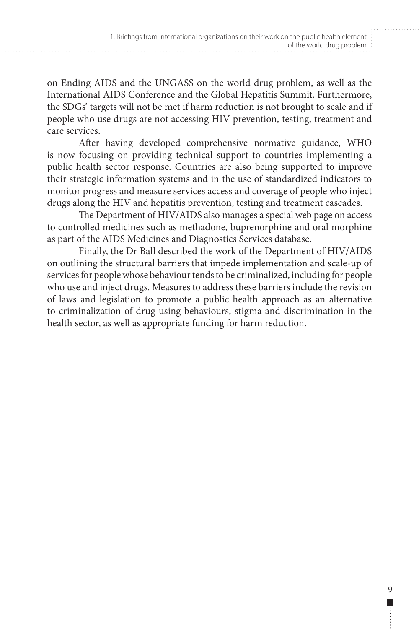on Ending AIDS and the UNGASS on the world drug problem, as well as the International AIDS Conference and the Global Hepatitis Summit. Furthermore, the SDGs' targets will not be met if harm reduction is not brought to scale and if people who use drugs are not accessing HIV prevention, testing, treatment and care services.

After having developed comprehensive normative guidance, WHO is now focusing on providing technical support to countries implementing a public health sector response. Countries are also being supported to improve their strategic information systems and in the use of standardized indicators to monitor progress and measure services access and coverage of people who inject drugs along the HIV and hepatitis prevention, testing and treatment cascades.

The Department of HIV/AIDS also manages a special web page on access to controlled medicines such as methadone, buprenorphine and oral morphine as part of the AIDS Medicines and Diagnostics Services database.

Finally, the Dr Ball described the work of the Department of HIV/AIDS on outlining the structural barriers that impede implementation and scale-up of services for people whose behaviour tends to be criminalized, including for people who use and inject drugs. Measures to address these barriers include the revision of laws and legislation to promote a public health approach as an alternative to criminalization of drug using behaviours, stigma and discrimination in the health sector, as well as appropriate funding for harm reduction.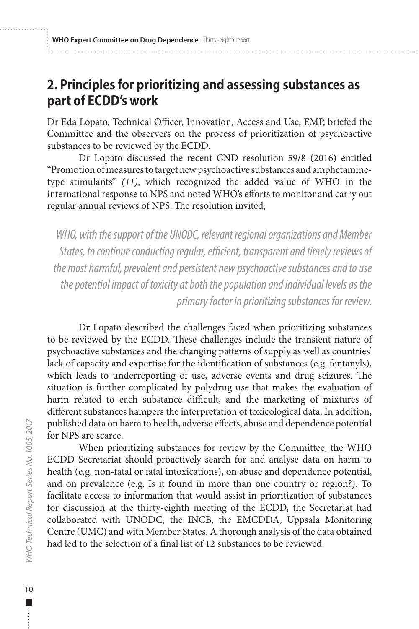# <span id="page-19-0"></span>**2. Principles for prioritizing and assessing substances as part of ECDD's work**

Dr Eda Lopato, Technical Officer, Innovation, Access and Use, EMP, briefed the Committee and the observers on the process of prioritization of psychoactive substances to be reviewed by the ECDD.

Dr Lopato discussed the recent CND resolution 59/8 (2016) entitled "Promotion of measures to target new psychoactive substances and amphetaminetype stimulants" *(11)*, which recognized the added value of WHO in the international response to NPS and noted WHO's efforts to monitor and carry out regular annual reviews of NPS. The resolution invited,

*WHO, with the support of the UNODC, relevant regional organizations and Member States, to continue conducting regular, efficient, transparent and timely reviews of the most harmful, prevalent and persistent new psychoactive substances and to use the potential impact of toxicity at both the population and individual levels as the primary factor in prioritizing substances for review.*

Dr Lopato described the challenges faced when prioritizing substances to be reviewed by the ECDD. These challenges include the transient nature of psychoactive substances and the changing patterns of supply as well as countries' lack of capacity and expertise for the identification of substances (e.g. fentanyls), which leads to underreporting of use, adverse events and drug seizures. The situation is further complicated by polydrug use that makes the evaluation of harm related to each substance difficult, and the marketing of mixtures of different substances hampers the interpretation of toxicological data. In addition, published data on harm to health, adverse effects, abuse and dependence potential for NPS are scarce.

When prioritizing substances for review by the Committee, the WHO ECDD Secretariat should proactively search for and analyse data on harm to health (e.g. non-fatal or fatal intoxications), on abuse and dependence potential, and on prevalence (e.g. Is it found in more than one country or region?). To facilitate access to information that would assist in prioritization of substances for discussion at the thirty-eighth meeting of the ECDD, the Secretariat had collaborated with UNODC, the INCB, the EMCDDA, Uppsala Monitoring Centre (UMC) and with Member States. A thorough analysis of the data obtained had led to the selection of a final list of 12 substances to be reviewed.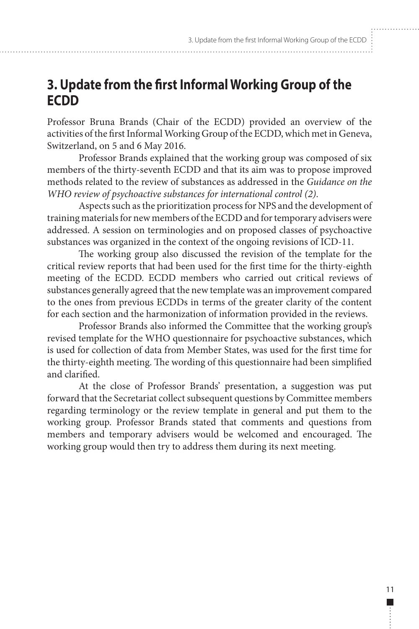# <span id="page-20-0"></span>**3. Update from the first Informal Working Group of the ECDD**

Professor Bruna Brands (Chair of the ECDD) provided an overview of the activities of the first Informal Working Group of the ECDD, which met in Geneva, Switzerland, on 5 and 6 May 2016.

Professor Brands explained that the working group was composed of six members of the thirty-seventh ECDD and that its aim was to propose improved methods related to the review of substances as addressed in the *Guidance on the WHO review of psychoactive substances for international control (2)*.

Aspects such as the prioritization process for NPS and the development of training materials for new members of the ECDD and for temporary advisers were addressed. A session on terminologies and on proposed classes of psychoactive substances was organized in the context of the ongoing revisions of ICD-11.

The working group also discussed the revision of the template for the critical review reports that had been used for the first time for the thirty-eighth meeting of the ECDD. ECDD members who carried out critical reviews of substances generally agreed that the new template was an improvement compared to the ones from previous ECDDs in terms of the greater clarity of the content for each section and the harmonization of information provided in the reviews.

Professor Brands also informed the Committee that the working group's revised template for the WHO questionnaire for psychoactive substances, which is used for collection of data from Member States, was used for the first time for the thirty-eighth meeting. The wording of this questionnaire had been simplified and clarified.

At the close of Professor Brands' presentation, a suggestion was put forward that the Secretariat collect subsequent questions by Committee members regarding terminology or the review template in general and put them to the working group. Professor Brands stated that comments and questions from members and temporary advisers would be welcomed and encouraged. The working group would then try to address them during its next meeting.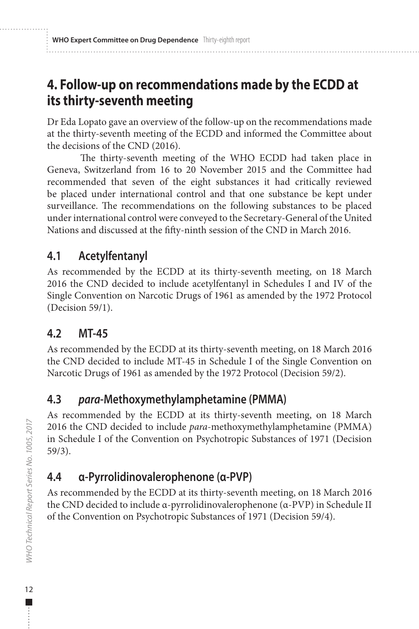# <span id="page-21-0"></span>**4. Follow-up on recommendations made by the ECDD at its thirty-seventh meeting**

Dr Eda Lopato gave an overview of the follow-up on the recommendations made at the thirty-seventh meeting of the ECDD and informed the Committee about the decisions of the CND (2016).

The thirty-seventh meeting of the WHO ECDD had taken place in Geneva, Switzerland from 16 to 20 November 2015 and the Committee had recommended that seven of the eight substances it had critically reviewed be placed under international control and that one substance be kept under surveillance. The recommendations on the following substances to be placed under international control were conveyed to the Secretary-General of the United Nations and discussed at the fifty-ninth session of the CND in March 2016.

# **4.1 Acetylfentanyl**

As recommended by the ECDD at its thirty-seventh meeting, on 18 March 2016 the CND decided to include acetylfentanyl in Schedules I and IV of the Single Convention on Narcotic Drugs of 1961 as amended by the 1972 Protocol (Decision 59/1).

# **4.2 MT-45**

As recommended by the ECDD at its thirty-seventh meeting, on 18 March 2016 the CND decided to include MT-45 in Schedule I of the Single Convention on Narcotic Drugs of 1961 as amended by the 1972 Protocol (Decision 59/2).

# **4.3** *para***-Methoxymethylamphetamine (PMMA)**

As recommended by the ECDD at its thirty-seventh meeting, on 18 March 2016 the CND decided to include *para*-methoxymethylamphetamine (PMMA) in Schedule I of the Convention on Psychotropic Substances of 1971 (Decision 59/3).

# **4.4 α-Pyrrolidinovalerophenone (α-PVP)**

As recommended by the ECDD at its thirty-seventh meeting, on 18 March 2016 the CND decided to include α-pyrrolidinovalerophenone (α-PVP) in Schedule II of the Convention on Psychotropic Substances of 1971 (Decision 59/4).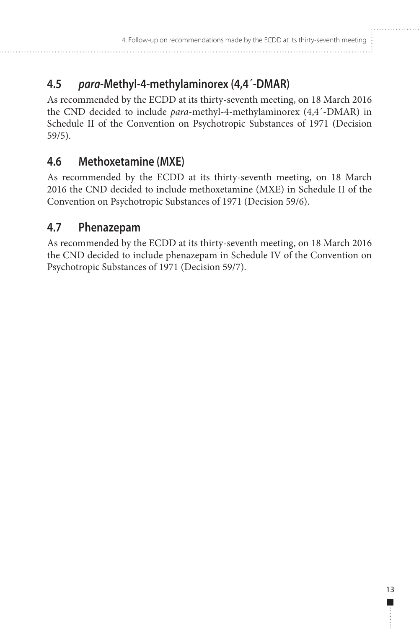# <span id="page-22-0"></span>**4.5** *para***-Methyl-4-methylaminorex (4,4´-DMAR)**

As recommended by the ECDD at its thirty-seventh meeting, on 18 March 2016 the CND decided to include *para*-methyl-4-methylaminorex (4,4**´**-DMAR) in Schedule II of the Convention on Psychotropic Substances of 1971 (Decision 59/5).

# **4.6 Methoxetamine (MXE)**

As recommended by the ECDD at its thirty-seventh meeting, on 18 March 2016 the CND decided to include methoxetamine (MXE) in Schedule II of the Convention on Psychotropic Substances of 1971 (Decision 59/6).

# **4.7 Phenazepam**

As recommended by the ECDD at its thirty-seventh meeting, on 18 March 2016 the CND decided to include phenazepam in Schedule IV of the Convention on Psychotropic Substances of 1971 (Decision 59/7).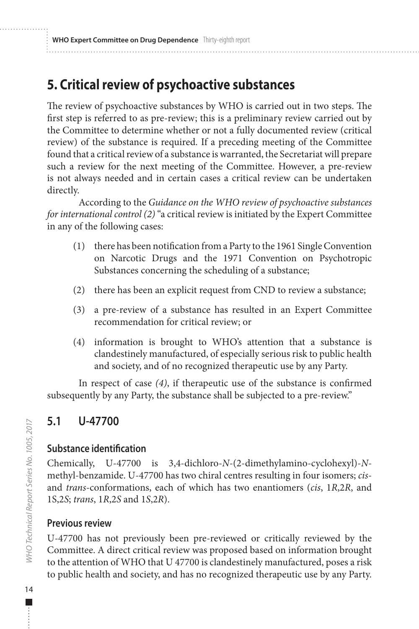# <span id="page-23-0"></span>**5. Critical review of psychoactive substances**

The review of psychoactive substances by WHO is carried out in two steps. The first step is referred to as pre-review; this is a preliminary review carried out by the Committee to determine whether or not a fully documented review (critical review) of the substance is required. If a preceding meeting of the Committee found that a critical review of a substance is warranted, the Secretariat will prepare such a review for the next meeting of the Committee. However, a pre-review is not always needed and in certain cases a critical review can be undertaken directly.

According to the *Guidance on the WHO review of psychoactive substances for international control (2)* "a critical review is initiated by the Expert Committee in any of the following cases:

- (1) there has been notification from a Party to the 1961 Single Convention on Narcotic Drugs and the 1971 Convention on Psychotropic Substances concerning the scheduling of a substance;
- (2) there has been an explicit request from CND to review a substance;
- (3) a pre-review of a substance has resulted in an Expert Committee recommendation for critical review; or
- (4) information is brought to WHO's attention that a substance is clandestinely manufactured, of especially serious risk to public health and society, and of no recognized therapeutic use by any Party.

In respect of case *(4)*, if therapeutic use of the substance is confirmed subsequently by any Party, the substance shall be subjected to a pre-review."

# **5.1 U-47700**

#### **Substance identification**

Chemically, U-47700 is 3,4-dichloro-*N*-(2-dimethylamino-cyclohexyl)-*N*methyl-benzamide. U-47700 has two chiral centres resulting in four isomers; *cis*and *trans*-conformations, each of which has two enantiomers (*cis*, 1*R*,2*R*, and 1S,2*S*; *trans*, 1*R*,2*S* and 1*S*,2*R*).

#### **Previous review**

U-47700 has not previously been pre-reviewed or critically reviewed by the Committee. A direct critical review was proposed based on information brought to the attention of WHO that U 47700 is clandestinely manufactured, poses a risk to public health and society, and has no recognized therapeutic use by any Party.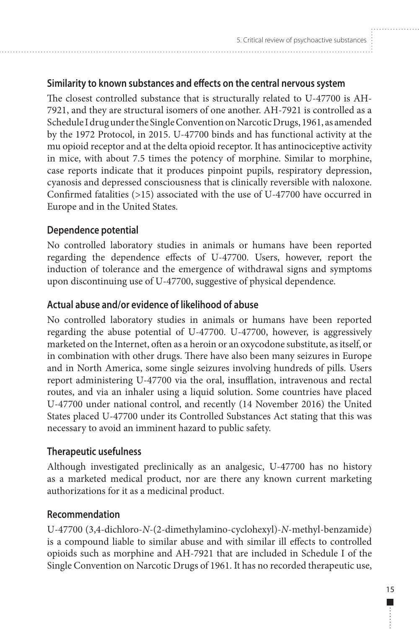## **Similarity to known substances and effects on the central nervous system**

The closest controlled substance that is structurally related to U-47700 is AH-7921, and they are structural isomers of one another. AH-7921 is controlled as a Schedule I drug under the Single Convention on Narcotic Drugs, 1961, as amended by the 1972 Protocol, in 2015. U-47700 binds and has functional activity at the mu opioid receptor and at the delta opioid receptor. It has antinociceptive activity in mice, with about 7.5 times the potency of morphine. Similar to morphine, case reports indicate that it produces pinpoint pupils, respiratory depression, cyanosis and depressed consciousness that is clinically reversible with naloxone. Confirmed fatalities (>15) associated with the use of U-47700 have occurred in Europe and in the United States.

## **Dependence potential**

No controlled laboratory studies in animals or humans have been reported regarding the dependence effects of U-47700. Users, however, report the induction of tolerance and the emergence of withdrawal signs and symptoms upon discontinuing use of U-47700, suggestive of physical dependence.

## **Actual abuse and/or evidence of likelihood of abuse**

No controlled laboratory studies in animals or humans have been reported regarding the abuse potential of U-47700. U-47700, however, is aggressively marketed on the Internet, often as a heroin or an oxycodone substitute, as itself, or in combination with other drugs. There have also been many seizures in Europe and in North America, some single seizures involving hundreds of pills. Users report administering U-47700 via the oral, insufflation, intravenous and rectal routes, and via an inhaler using a liquid solution. Some countries have placed U-47700 under national control, and recently (14 November 2016) the United States placed U-47700 under its Controlled Substances Act stating that this was necessary to avoid an imminent hazard to public safety.

#### **Therapeutic usefulness**

Although investigated preclinically as an analgesic, U-47700 has no history as a marketed medical product, nor are there any known current marketing authorizations for it as a medicinal product.

#### **Recommendation**

U-47700 (3,4-dichloro-*N*-(2-dimethylamino-cyclohexyl)-*N*-methyl-benzamide) is a compound liable to similar abuse and with similar ill effects to controlled opioids such as morphine and AH-7921 that are included in Schedule I of the Single Convention on Narcotic Drugs of 1961. It has no recorded therapeutic use,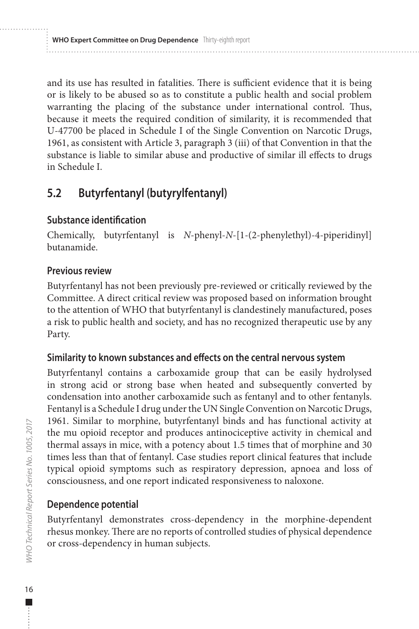<span id="page-25-0"></span>and its use has resulted in fatalities. There is sufficient evidence that it is being or is likely to be abused so as to constitute a public health and social problem warranting the placing of the substance under international control. Thus, because it meets the required condition of similarity, it is recommended that U-47700 be placed in Schedule I of the Single Convention on Narcotic Drugs, 1961, as consistent with Article 3, paragraph 3 (iii) of that Convention in that the substance is liable to similar abuse and productive of similar ill effects to drugs in Schedule I.

# **5.2 Butyrfentanyl (butyrylfentanyl)**

#### **Substance identification**

Chemically, butyrfentanyl is *N*-phenyl-*N*-[1-(2-phenylethyl)-4-piperidinyl] butanamide.

#### **Previous review**

Butyrfentanyl has not been previously pre-reviewed or critically reviewed by the Committee. A direct critical review was proposed based on information brought to the attention of WHO that butyrfentanyl is clandestinely manufactured, poses a risk to public health and society, and has no recognized therapeutic use by any Party.

#### **Similarity to known substances and effects on the central nervous system**

Butyrfentanyl contains a carboxamide group that can be easily hydrolysed in strong acid or strong base when heated and subsequently converted by condensation into another carboxamide such as fentanyl and to other fentanyls. Fentanyl is a Schedule I drug under the UN Single Convention on Narcotic Drugs, 1961. Similar to morphine, butyrfentanyl binds and has functional activity at the mu opioid receptor and produces antinociceptive activity in chemical and thermal assays in mice, with a potency about 1.5 times that of morphine and 30 times less than that of fentanyl. Case studies report clinical features that include typical opioid symptoms such as respiratory depression, apnoea and loss of consciousness, and one report indicated responsiveness to naloxone.

#### **Dependence potential**

Butyrfentanyl demonstrates cross-dependency in the morphine-dependent rhesus monkey. There are no reports of controlled studies of physical dependence or cross-dependency in human subjects.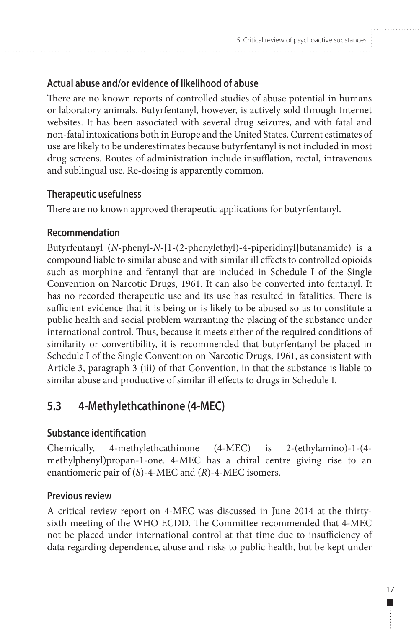## <span id="page-26-0"></span>**Actual abuse and/or evidence of likelihood of abuse**

There are no known reports of controlled studies of abuse potential in humans or laboratory animals. Butyrfentanyl, however, is actively sold through Internet websites. It has been associated with several drug seizures, and with fatal and non-fatal intoxications both in Europe and the United States. Current estimates of use are likely to be underestimates because butyrfentanyl is not included in most drug screens. Routes of administration include insufflation, rectal, intravenous and sublingual use. Re-dosing is apparently common.

## **Therapeutic usefulness**

There are no known approved therapeutic applications for butyrfentanyl.

## **Recommendation**

Butyrfentanyl (*N*-phenyl-*N*-[1-(2-phenylethyl)-4-piperidinyl]butanamide) is a compound liable to similar abuse and with similar ill effects to controlled opioids such as morphine and fentanyl that are included in Schedule I of the Single Convention on Narcotic Drugs, 1961. It can also be converted into fentanyl. It has no recorded therapeutic use and its use has resulted in fatalities. There is sufficient evidence that it is being or is likely to be abused so as to constitute a public health and social problem warranting the placing of the substance under international control. Thus, because it meets either of the required conditions of similarity or convertibility, it is recommended that butyrfentanyl be placed in Schedule I of the Single Convention on Narcotic Drugs, 1961, as consistent with Article 3, paragraph 3 (iii) of that Convention, in that the substance is liable to similar abuse and productive of similar ill effects to drugs in Schedule I.

# **5.3 4-Methylethcathinone (4-MEC)**

## **Substance identification**

Chemically, 4-methylethcathinone (4-MEC) is 2-(ethylamino)-1-(4 methylphenyl)propan-1-one. 4-MEC has a chiral centre giving rise to an enantiomeric pair of (*S*)-4-MEC and (*R*)-4-MEC isomers.

## **Previous review**

A critical review report on 4-MEC was discussed in June 2014 at the thirtysixth meeting of the WHO ECDD. The Committee recommended that 4-MEC not be placed under international control at that time due to insufficiency of data regarding dependence, abuse and risks to public health, but be kept under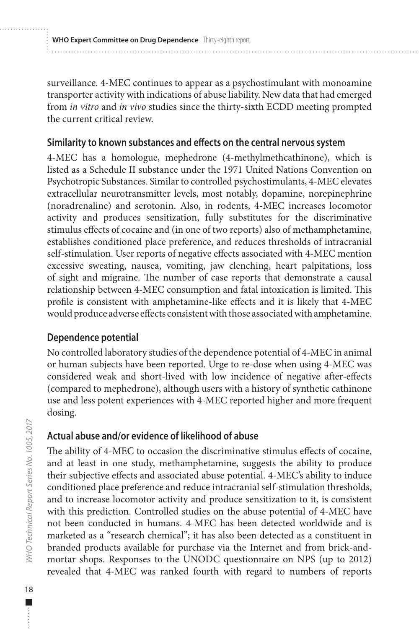**WHO Expert Committee on Drug Dependence** Thirty-eighth report

surveillance. 4-MEC continues to appear as a psychostimulant with monoamine transporter activity with indications of abuse liability. New data that had emerged from *in vitro* and *in vivo* studies since the thirty-sixth ECDD meeting prompted the current critical review.

#### **Similarity to known substances and effects on the central nervous system**

4-MEC has a homologue, mephedrone (4-methylmethcathinone), which is listed as a Schedule II substance under the 1971 United Nations Convention on Psychotropic Substances. Similar to controlled psychostimulants, 4-MEC elevates extracellular neurotransmitter levels, most notably, dopamine, norepinephrine (noradrenaline) and serotonin. Also, in rodents, 4-MEC increases locomotor activity and produces sensitization, fully substitutes for the discriminative stimulus effects of cocaine and (in one of two reports) also of methamphetamine, establishes conditioned place preference, and reduces thresholds of intracranial self-stimulation. User reports of negative effects associated with 4-MEC mention excessive sweating, nausea, vomiting, jaw clenching, heart palpitations, loss of sight and migraine. The number of case reports that demonstrate a causal relationship between 4-MEC consumption and fatal intoxication is limited. This profile is consistent with amphetamine-like effects and it is likely that 4-MEC would produce adverse effects consistent with those associated with amphetamine.

## **Dependence potential**

No controlled laboratory studies of the dependence potential of 4-MEC in animal or human subjects have been reported. Urge to re-dose when using 4-MEC was considered weak and short-lived with low incidence of negative after-effects (compared to mephedrone), although users with a history of synthetic cathinone use and less potent experiences with 4-MEC reported higher and more frequent dosing.

## **Actual abuse and/or evidence of likelihood of abuse**

The ability of 4-MEC to occasion the discriminative stimulus effects of cocaine, and at least in one study, methamphetamine, suggests the ability to produce their subjective effects and associated abuse potential. 4-MEC's ability to induce conditioned place preference and reduce intracranial self-stimulation thresholds, and to increase locomotor activity and produce sensitization to it, is consistent with this prediction. Controlled studies on the abuse potential of 4-MEC have not been conducted in humans. 4-MEC has been detected worldwide and is marketed as a "research chemical"; it has also been detected as a constituent in branded products available for purchase via the Internet and from brick-andmortar shops. Responses to the UNODC questionnaire on NPS (up to 2012) revealed that 4-MEC was ranked fourth with regard to numbers of reports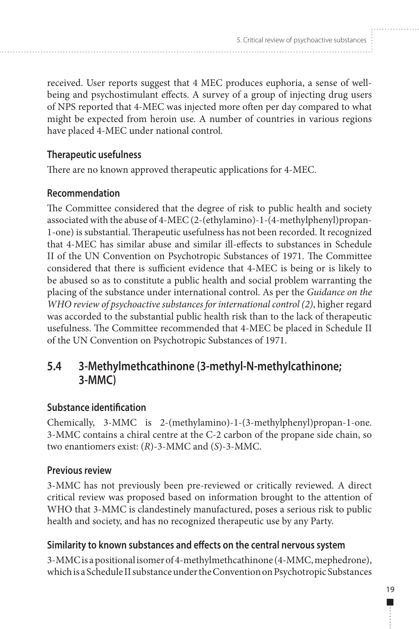<span id="page-28-0"></span>received. User reports suggest that 4 MEC produces euphoria, a sense of wellbeing and psychostimulant effects. A survey of a group of injecting drug users of NPS reported that 4-MEC was injected more often per day compared to what might be expected from heroin use. A number of countries in various regions have placed 4-MEC under national control.

## **Therapeutic usefulness**

There are no known approved therapeutic applications for 4-MEC.

## **Recommendation**

The Committee considered that the degree of risk to public health and society associated with the abuse of 4-MEC (2-(ethylamino)-1-(4-methylphenyl)propan-1-one) is substantial. Therapeutic usefulness has not been recorded. It recognized that 4-MEC has similar abuse and similar ill-effects to substances in Schedule II of the UN Convention on Psychotropic Substances of 1971. The Committee considered that there is sufficient evidence that 4-MEC is being or is likely to be abused so as to constitute a public health and social problem warranting the placing of the substance under international control. As per the *Guidance on the WHO review of psychoactive substances for international control (2)*, higher regard was accorded to the substantial public health risk than to the lack of therapeutic usefulness. The Committee recommended that 4-MEC be placed in Schedule II of the UN Convention on Psychotropic Substances of 1971.

# **5.4 3-Methylmethcathinone (3-methyl-N-methylcathinone; 3-MMC)**

## **Substance identification**

Chemically, 3-MMC is 2-(methylamino)-1-(3-methylphenyl)propan-1-one. 3-MMC contains a chiral centre at the C-2 carbon of the propane side chain, so two enantiomers exist: (*R*)-3-MMC and (*S*)-3-MMC.

## **Previous review**

3-MMC has not previously been pre-reviewed or critically reviewed. A direct critical review was proposed based on information brought to the attention of WHO that 3-MMC is clandestinely manufactured, poses a serious risk to public health and society, and has no recognized therapeutic use by any Party.

## **Similarity to known substances and effects on the central nervous system**

3-MMC is a positional isomer of 4-methylmethcathinone (4-MMC, mephedrone), which is a Schedule II substance under the Convention on Psychotropic Substances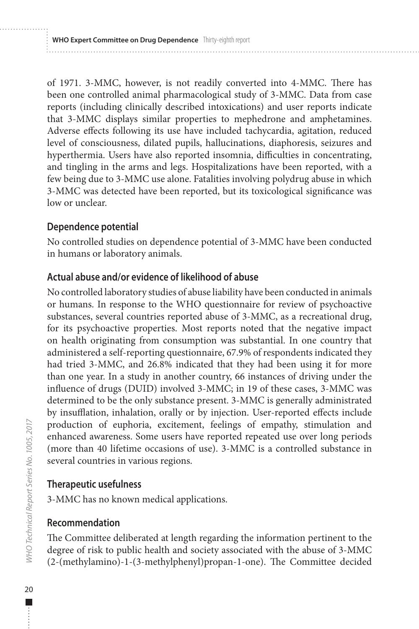**WHO Expert Committee on Drug Dependence** Thirty-eighth report

of 1971. 3-MMC, however, is not readily converted into 4-MMC. There has been one controlled animal pharmacological study of 3-MMC. Data from case reports (including clinically described intoxications) and user reports indicate that 3-MMC displays similar properties to mephedrone and amphetamines. Adverse effects following its use have included tachycardia, agitation, reduced level of consciousness, dilated pupils, hallucinations, diaphoresis, seizures and hyperthermia. Users have also reported insomnia, difficulties in concentrating, and tingling in the arms and legs. Hospitalizations have been reported, with a few being due to 3-MMC use alone. Fatalities involving polydrug abuse in which 3-MMC was detected have been reported, but its toxicological significance was low or unclear.

## **Dependence potential**

No controlled studies on dependence potential of 3-MMC have been conducted in humans or laboratory animals.

## **Actual abuse and/or evidence of likelihood of abuse**

No controlled laboratory studies of abuse liability have been conducted in animals or humans. In response to the WHO questionnaire for review of psychoactive substances, several countries reported abuse of 3-MMC, as a recreational drug, for its psychoactive properties. Most reports noted that the negative impact on health originating from consumption was substantial. In one country that administered a self-reporting questionnaire, 67.9% of respondents indicated they had tried 3-MMC, and 26.8% indicated that they had been using it for more than one year. In a study in another country, 66 instances of driving under the influence of drugs (DUID) involved 3-MMC; in 19 of these cases, 3-MMC was determined to be the only substance present. 3-MMC is generally administrated by insufflation, inhalation, orally or by injection. User-reported effects include production of euphoria, excitement, feelings of empathy, stimulation and enhanced awareness. Some users have reported repeated use over long periods (more than 40 lifetime occasions of use). 3-MMC is a controlled substance in several countries in various regions.

## **Therapeutic usefulness**

3-MMC has no known medical applications.

## **Recommendation**

The Committee deliberated at length regarding the information pertinent to the degree of risk to public health and society associated with the abuse of 3-MMC (2-(methylamino)-1-(3-methylphenyl)propan-1-one). The Committee decided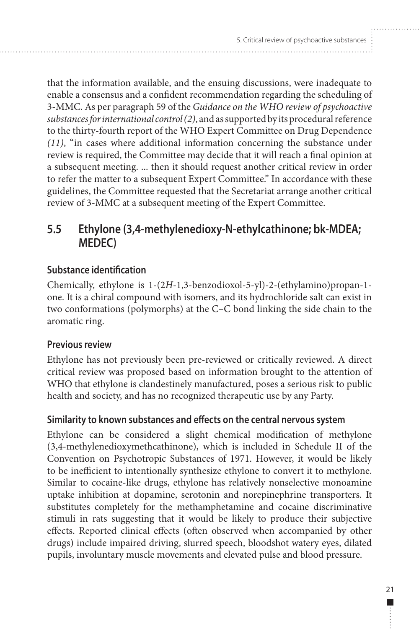<span id="page-30-0"></span>that the information available, and the ensuing discussions, were inadequate to enable a consensus and a confident recommendation regarding the scheduling of 3-MMC. As per paragraph 59 of the *Guidance on the WHO review of psychoactive substances for international control(2)*, and as supported by its procedural reference to the thirty-fourth report of the WHO Expert Committee on Drug Dependence *(11)*, "in cases where additional information concerning the substance under review is required, the Committee may decide that it will reach a final opinion at a subsequent meeting. ... then it should request another critical review in order to refer the matter to a subsequent Expert Committee." In accordance with these guidelines, the Committee requested that the Secretariat arrange another critical review of 3-MMC at a subsequent meeting of the Expert Committee.

# **5.5 Ethylone (3,4-methylenedioxy-N-ethylcathinone; bk-MDEA; MEDEC)**

## **Substance identification**

Chemically, ethylone is 1-(2*H*-1,3-benzodioxol-5-yl)-2-(ethylamino)propan-1 one. It is a chiral compound with isomers, and its hydrochloride salt can exist in two conformations (polymorphs) at the C–C bond linking the side chain to the aromatic ring.

#### **Previous review**

Ethylone has not previously been pre-reviewed or critically reviewed. A direct critical review was proposed based on information brought to the attention of WHO that ethylone is clandestinely manufactured, poses a serious risk to public health and society, and has no recognized therapeutic use by any Party.

#### **Similarity to known substances and effects on the central nervous system**

Ethylone can be considered a slight chemical modification of methylone (3,4-methylenedioxymethcathinone), which is included in Schedule II of the Convention on Psychotropic Substances of 1971. However, it would be likely to be inefficient to intentionally synthesize ethylone to convert it to methylone. Similar to cocaine-like drugs, ethylone has relatively nonselective monoamine uptake inhibition at dopamine, serotonin and norepinephrine transporters. It substitutes completely for the methamphetamine and cocaine discriminative stimuli in rats suggesting that it would be likely to produce their subjective effects. Reported clinical effects (often observed when accompanied by other drugs) include impaired driving, slurred speech, bloodshot watery eyes, dilated pupils, involuntary muscle movements and elevated pulse and blood pressure.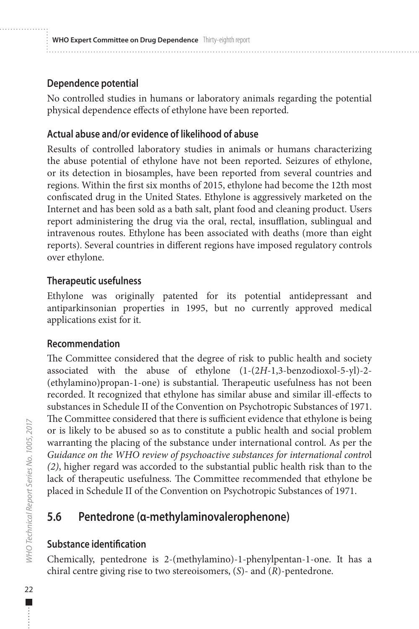#### <span id="page-31-0"></span>**Dependence potential**

No controlled studies in humans or laboratory animals regarding the potential physical dependence effects of ethylone have been reported.

#### **Actual abuse and/or evidence of likelihood of abuse**

Results of controlled laboratory studies in animals or humans characterizing the abuse potential of ethylone have not been reported. Seizures of ethylone, or its detection in biosamples, have been reported from several countries and regions. Within the first six months of 2015, ethylone had become the 12th most confiscated drug in the United States. Ethylone is aggressively marketed on the Internet and has been sold as a bath salt, plant food and cleaning product. Users report administering the drug via the oral, rectal, insufflation, sublingual and intravenous routes. Ethylone has been associated with deaths (more than eight reports). Several countries in different regions have imposed regulatory controls over ethylone.

#### **Therapeutic usefulness**

Ethylone was originally patented for its potential antidepressant and antiparkinsonian properties in 1995, but no currently approved medical applications exist for it.

#### **Recommendation**

The Committee considered that the degree of risk to public health and society associated with the abuse of ethylone (1-(2*H*-1,3-benzodioxol-5-yl)-2- (ethylamino)propan-1-one) is substantial. Therapeutic usefulness has not been recorded. It recognized that ethylone has similar abuse and similar ill-effects to substances in Schedule II of the Convention on Psychotropic Substances of 1971. The Committee considered that there is sufficient evidence that ethylone is being or is likely to be abused so as to constitute a public health and social problem warranting the placing of the substance under international control. As per the *Guidance on the WHO review of psychoactive substances for international contro*l *(2)*, higher regard was accorded to the substantial public health risk than to the lack of therapeutic usefulness. The Committee recommended that ethylone be placed in Schedule II of the Convention on Psychotropic Substances of 1971.

# **5.6 Pentedrone (α-methylaminovalerophenone)**

#### **Substance identification**

Chemically, pentedrone is 2-(methylamino)-1-phenylpentan-1-one. It has a chiral centre giving rise to two stereoisomers, (*S*)- and (*R*)-pentedrone.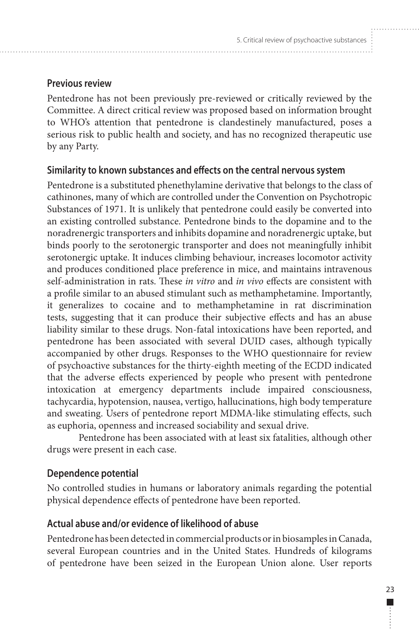#### **Previous review**

Pentedrone has not been previously pre-reviewed or critically reviewed by the Committee. A direct critical review was proposed based on information brought to WHO's attention that pentedrone is clandestinely manufactured, poses a serious risk to public health and society, and has no recognized therapeutic use by any Party.

#### **Similarity to known substances and effects on the central nervous system**

Pentedrone is a substituted phenethylamine derivative that belongs to the class of cathinones, many of which are controlled under the Convention on Psychotropic Substances of 1971. It is unlikely that pentedrone could easily be converted into an existing controlled substance. Pentedrone binds to the dopamine and to the noradrenergic transporters and inhibits dopamine and noradrenergic uptake, but binds poorly to the serotonergic transporter and does not meaningfully inhibit serotonergic uptake. It induces climbing behaviour, increases locomotor activity and produces conditioned place preference in mice, and maintains intravenous self-administration in rats. These *in vitro* and *in vivo* effects are consistent with a profile similar to an abused stimulant such as methamphetamine. Importantly, it generalizes to cocaine and to methamphetamine in rat discrimination tests, suggesting that it can produce their subjective effects and has an abuse liability similar to these drugs. Non-fatal intoxications have been reported, and pentedrone has been associated with several DUID cases, although typically accompanied by other drugs. Responses to the WHO questionnaire for review of psychoactive substances for the thirty-eighth meeting of the ECDD indicated that the adverse effects experienced by people who present with pentedrone intoxication at emergency departments include impaired consciousness, tachycardia, hypotension, nausea, vertigo, hallucinations, high body temperature and sweating. Users of pentedrone report MDMA-like stimulating effects, such as euphoria, openness and increased sociability and sexual drive.

Pentedrone has been associated with at least six fatalities, although other drugs were present in each case.

#### **Dependence potential**

No controlled studies in humans or laboratory animals regarding the potential physical dependence effects of pentedrone have been reported.

#### **Actual abuse and/or evidence of likelihood of abuse**

Pentedrone has been detected in commercial products or in biosamples in Canada, several European countries and in the United States. Hundreds of kilograms of pentedrone have been seized in the European Union alone. User reports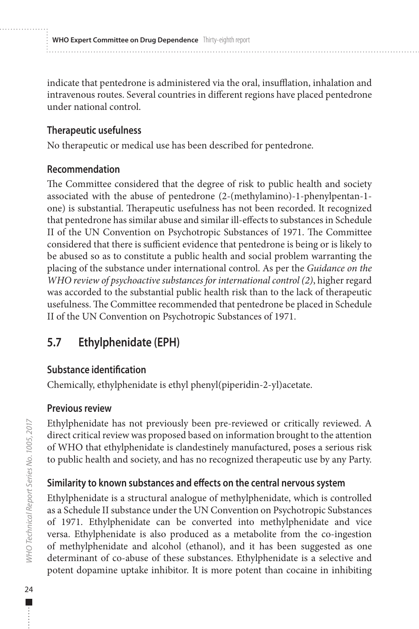<span id="page-33-0"></span>indicate that pentedrone is administered via the oral, insufflation, inhalation and intravenous routes. Several countries in different regions have placed pentedrone under national control.

#### **Therapeutic usefulness**

No therapeutic or medical use has been described for pentedrone.

#### **Recommendation**

The Committee considered that the degree of risk to public health and society associated with the abuse of pentedrone (2-(methylamino)-1-phenylpentan-1 one) is substantial. Therapeutic usefulness has not been recorded. It recognized that pentedrone has similar abuse and similar ill-effects to substances in Schedule II of the UN Convention on Psychotropic Substances of 1971. The Committee considered that there is sufficient evidence that pentedrone is being or is likely to be abused so as to constitute a public health and social problem warranting the placing of the substance under international control. As per the *Guidance on the WHO review of psychoactive substances for international control (2)*, higher regard was accorded to the substantial public health risk than to the lack of therapeutic usefulness. The Committee recommended that pentedrone be placed in Schedule II of the UN Convention on Psychotropic Substances of 1971.

# **5.7 Ethylphenidate (EPH)**

#### **Substance identification**

Chemically, ethylphenidate is ethyl phenyl(piperidin-2-yl)acetate.

## **Previous review**

Ethylphenidate has not previously been pre-reviewed or critically reviewed. A direct critical review was proposed based on information brought to the attention of WHO that ethylphenidate is clandestinely manufactured, poses a serious risk to public health and society, and has no recognized therapeutic use by any Party.

## **Similarity to known substances and effects on the central nervous system**

Ethylphenidate is a structural analogue of methylphenidate, which is controlled as a Schedule II substance under the UN Convention on Psychotropic Substances of 1971. Ethylphenidate can be converted into methylphenidate and vice versa. Ethylphenidate is also produced as a metabolite from the co-ingestion of methylphenidate and alcohol (ethanol), and it has been suggested as one determinant of co-abuse of these substances. Ethylphenidate is a selective and potent dopamine uptake inhibitor. It is more potent than cocaine in inhibiting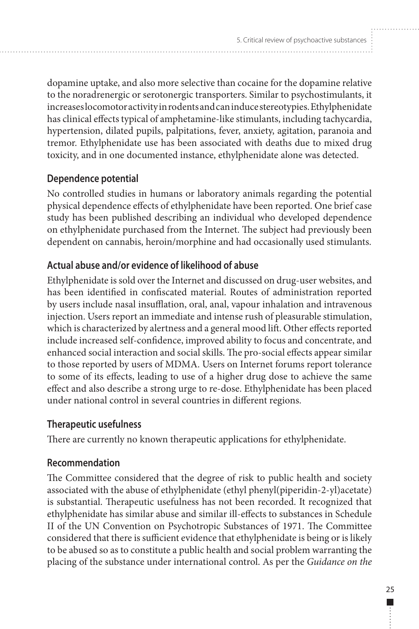dopamine uptake, and also more selective than cocaine for the dopamine relative to the noradrenergic or serotonergic transporters. Similar to psychostimulants, it increases locomotor activity in rodents and can induce stereotypies. Ethylphenidate has clinical effects typical of amphetamine-like stimulants, including tachycardia, hypertension, dilated pupils, palpitations, fever, anxiety, agitation, paranoia and tremor. Ethylphenidate use has been associated with deaths due to mixed drug toxicity, and in one documented instance, ethylphenidate alone was detected.

## **Dependence potential**

No controlled studies in humans or laboratory animals regarding the potential physical dependence effects of ethylphenidate have been reported. One brief case study has been published describing an individual who developed dependence on ethylphenidate purchased from the Internet. The subject had previously been dependent on cannabis, heroin/morphine and had occasionally used stimulants.

## **Actual abuse and/or evidence of likelihood of abuse**

Ethylphenidate is sold over the Internet and discussed on drug-user websites, and has been identified in confiscated material. Routes of administration reported by users include nasal insufflation, oral, anal, vapour inhalation and intravenous injection. Users report an immediate and intense rush of pleasurable stimulation, which is characterized by alertness and a general mood lift. Other effects reported include increased self-confidence, improved ability to focus and concentrate, and enhanced social interaction and social skills. The pro-social effects appear similar to those reported by users of MDMA. Users on Internet forums report tolerance to some of its effects, leading to use of a higher drug dose to achieve the same effect and also describe a strong urge to re-dose. Ethylphenidate has been placed under national control in several countries in different regions.

#### **Therapeutic usefulness**

There are currently no known therapeutic applications for ethylphenidate.

#### **Recommendation**

The Committee considered that the degree of risk to public health and society associated with the abuse of ethylphenidate (ethyl phenyl(piperidin-2-yl)acetate) is substantial. Therapeutic usefulness has not been recorded. It recognized that ethylphenidate has similar abuse and similar ill-effects to substances in Schedule II of the UN Convention on Psychotropic Substances of 1971. The Committee considered that there is sufficient evidence that ethylphenidate is being or is likely to be abused so as to constitute a public health and social problem warranting the placing of the substance under international control. As per the *Guidance on the*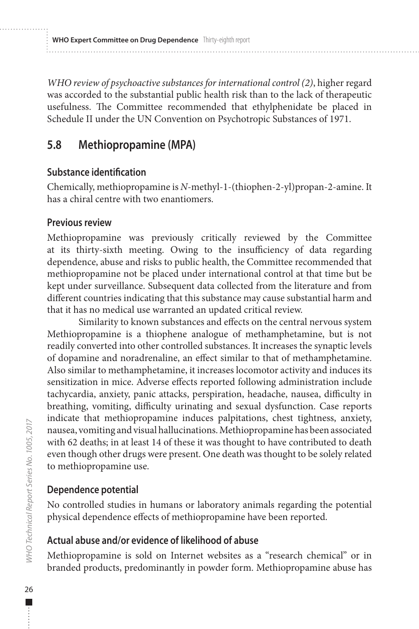<span id="page-35-0"></span>*WHO review of psychoactive substances for international control (2)*, higher regard was accorded to the substantial public health risk than to the lack of therapeutic usefulness. The Committee recommended that ethylphenidate be placed in Schedule II under the UN Convention on Psychotropic Substances of 1971.

# **5.8 Methiopropamine (MPA)**

#### **Substance identification**

Chemically, methiopropamine is *N*-methyl-1-(thiophen-2-yl)propan-2-amine. It has a chiral centre with two enantiomers.

#### **Previous review**

Methiopropamine was previously critically reviewed by the Committee at its thirty-sixth meeting. Owing to the insufficiency of data regarding dependence, abuse and risks to public health, the Committee recommended that methiopropamine not be placed under international control at that time but be kept under surveillance. Subsequent data collected from the literature and from different countries indicating that this substance may cause substantial harm and that it has no medical use warranted an updated critical review.

Similarity to known substances and effects on the central nervous system Methiopropamine is a thiophene analogue of methamphetamine, but is not readily converted into other controlled substances. It increases the synaptic levels of dopamine and noradrenaline, an effect similar to that of methamphetamine. Also similar to methamphetamine, it increases locomotor activity and induces its sensitization in mice. Adverse effects reported following administration include tachycardia, anxiety, panic attacks, perspiration, headache, nausea, difficulty in breathing, vomiting, difficulty urinating and sexual dysfunction. Case reports indicate that methiopropamine induces palpitations, chest tightness, anxiety, nausea, vomiting and visual hallucinations. Methiopropamine has been associated with 62 deaths; in at least 14 of these it was thought to have contributed to death even though other drugs were present. One death was thought to be solely related to methiopropamine use.

## **Dependence potential**

No controlled studies in humans or laboratory animals regarding the potential physical dependence effects of methiopropamine have been reported.

## **Actual abuse and/or evidence of likelihood of abuse**

Methiopropamine is sold on Internet websites as a "research chemical" or in branded products, predominantly in powder form. Methiopropamine abuse has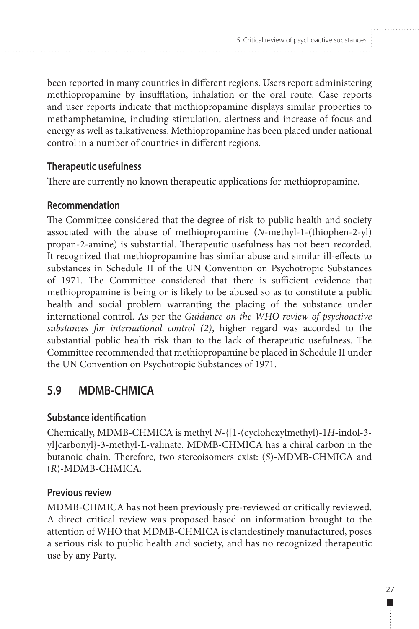<span id="page-36-0"></span>been reported in many countries in different regions. Users report administering methiopropamine by insufflation, inhalation or the oral route. Case reports and user reports indicate that methiopropamine displays similar properties to methamphetamine, including stimulation, alertness and increase of focus and energy as well as talkativeness. Methiopropamine has been placed under national control in a number of countries in different regions.

## **Therapeutic usefulness**

There are currently no known therapeutic applications for methiopropamine.

## **Recommendation**

The Committee considered that the degree of risk to public health and society associated with the abuse of methiopropamine (*N*-methyl-1-(thiophen-2-yl) propan-2-amine) is substantial. Therapeutic usefulness has not been recorded. It recognized that methiopropamine has similar abuse and similar ill-effects to substances in Schedule II of the UN Convention on Psychotropic Substances of 1971. The Committee considered that there is sufficient evidence that methiopropamine is being or is likely to be abused so as to constitute a public health and social problem warranting the placing of the substance under international control. As per the *Guidance on the WHO review of psychoactive substances for international control (2)*, higher regard was accorded to the substantial public health risk than to the lack of therapeutic usefulness. The Committee recommended that methiopropamine be placed in Schedule II under the UN Convention on Psychotropic Substances of 1971.

# **5.9 MDMB-CHMICA**

#### **Substance identification**

Chemically, MDMB-CHMICA is methyl *N*-{[1-(cyclohexylmethyl)-1*H*-indol-3 yl]carbonyl}-3-methyl-L-valinate. MDMB-CHMICA has a chiral carbon in the butanoic chain. Therefore, two stereoisomers exist: (*S*)-MDMB-CHMICA and (*R*)-MDMB-CHMICA.

## **Previous review**

MDMB-CHMICA has not been previously pre-reviewed or critically reviewed. A direct critical review was proposed based on information brought to the attention of WHO that MDMB-CHMICA is clandestinely manufactured, poses a serious risk to public health and society, and has no recognized therapeutic use by any Party.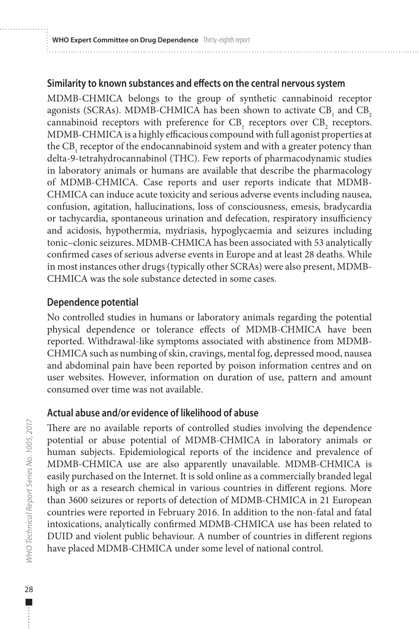#### **Similarity to known substances and effects on the central nervous system**

MDMB-CHMICA belongs to the group of synthetic cannabinoid receptor agonists (SCRAs). MDMB-CHMICA has been shown to activate  $CB_1$  and  $CB_2$ cannabinoid receptors with preference for  $CB_1$  receptors over  $CB_2$  receptors. MDMB-CHMICA is a highly efficacious compound with full agonist properties at the  $\text{CB}_1$  receptor of the endocannabinoid system and with a greater potency than delta-9-tetrahydrocannabinol (THC). Few reports of pharmacodynamic studies in laboratory animals or humans are available that describe the pharmacology of MDMB-CHMICA. Case reports and user reports indicate that MDMB-CHMICA can induce acute toxicity and serious adverse events including nausea, confusion, agitation, hallucinations, loss of consciousness, emesis, bradycardia or tachycardia, spontaneous urination and defecation, respiratory insufficiency and acidosis, hypothermia, mydriasis, hypoglycaemia and seizures including tonic–clonic seizures. MDMB-CHMICA has been associated with 53 analytically confirmed cases of serious adverse events in Europe and at least 28 deaths. While in most instances other drugs (typically other SCRAs) were also present, MDMB-CHMICA was the sole substance detected in some cases.

## **Dependence potential**

No controlled studies in humans or laboratory animals regarding the potential physical dependence or tolerance effects of MDMB-CHMICA have been reported. Withdrawal-like symptoms associated with abstinence from MDMB-CHMICA such as numbing of skin, cravings, mental fog, depressed mood, nausea and abdominal pain have been reported by poison information centres and on user websites. However, information on duration of use, pattern and amount consumed over time was not available.

## **Actual abuse and/or evidence of likelihood of abuse**

There are no available reports of controlled studies involving the dependence potential or abuse potential of MDMB-CHMICA in laboratory animals or human subjects. Epidemiological reports of the incidence and prevalence of MDMB-CHMICA use are also apparently unavailable. MDMB-CHMICA is easily purchased on the Internet. It is sold online as a commercially branded legal high or as a research chemical in various countries in different regions. More than 3600 seizures or reports of detection of MDMB-CHMICA in 21 European countries were reported in February 2016. In addition to the non-fatal and fatal intoxications, analytically confirmed MDMB-CHMICA use has been related to DUID and violent public behaviour. A number of countries in different regions have placed MDMB-CHMICA under some level of national control.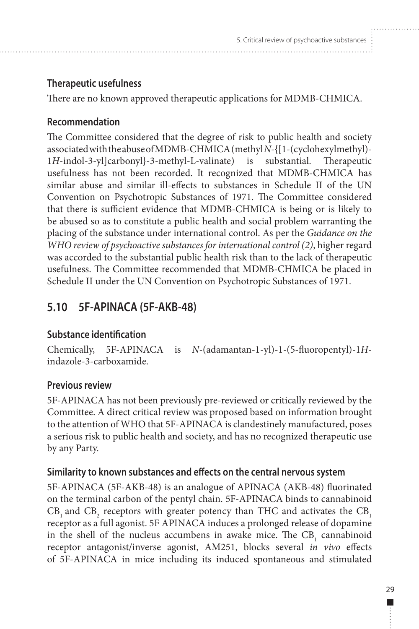## <span id="page-38-0"></span>**Therapeutic usefulness**

There are no known approved therapeutic applications for MDMB-CHMICA.

## **Recommendation**

The Committee considered that the degree of risk to public health and society associated with the abuse of MDMB-CHMICA (methyl *N*-{[1-(cyclohexylmethyl)- 1*H*-indol-3-yl]carbonyl}-3-methyl-L-valinate) is substantial. Therapeutic usefulness has not been recorded. It recognized that MDMB-CHMICA has similar abuse and similar ill-effects to substances in Schedule II of the UN Convention on Psychotropic Substances of 1971. The Committee considered that there is sufficient evidence that MDMB-CHMICA is being or is likely to be abused so as to constitute a public health and social problem warranting the placing of the substance under international control. As per the *Guidance on the WHO review of psychoactive substances for international control (2)*, higher regard was accorded to the substantial public health risk than to the lack of therapeutic usefulness. The Committee recommended that MDMB-CHMICA be placed in Schedule II under the UN Convention on Psychotropic Substances of 1971.

# **5.10 5F-APINACA (5F-AKB-48)**

# **Substance identification**

Chemically, 5F-APINACA is *N*-(adamantan-1-yl)-1-(5-fluoropentyl)-1*H*indazole-3-carboxamide.

# **Previous review**

5F-APINACA has not been previously pre-reviewed or critically reviewed by the Committee. A direct critical review was proposed based on information brought to the attention of WHO that 5F-APINACA is clandestinely manufactured, poses a serious risk to public health and society, and has no recognized therapeutic use by any Party.

# **Similarity to known substances and effects on the central nervous system**

5F-APINACA (5F-AKB-48) is an analogue of APINACA (AKB-48) fluorinated on the terminal carbon of the pentyl chain. 5F-APINACA binds to cannabinoid  $CB_1$  and  $CB_2$  receptors with greater potency than THC and activates the  $CB_1$ receptor as a full agonist. 5F APINACA induces a prolonged release of dopamine in the shell of the nucleus accumbens in awake mice. The  $CB_1$  cannabinoid receptor antagonist/inverse agonist, AM251, blocks several *in vivo* effects of 5F-APINACA in mice including its induced spontaneous and stimulated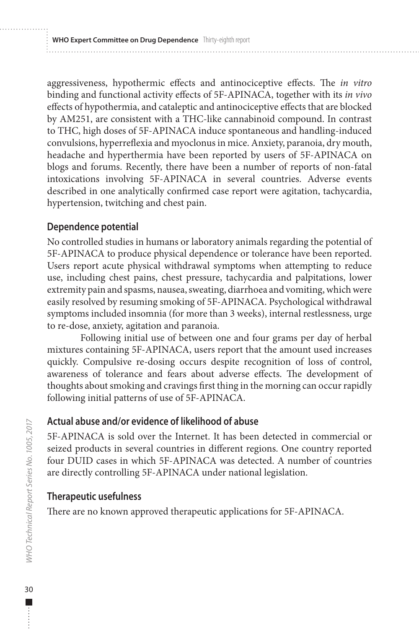aggressiveness, hypothermic effects and antinociceptive effects. The *in vitro*  binding and functional activity effects of 5F-APINACA, together with its *in vivo*  effects of hypothermia, and cataleptic and antinociceptive effects that are blocked by AM251, are consistent with a THC-like cannabinoid compound. In contrast to THC, high doses of 5F-APINACA induce spontaneous and handling-induced convulsions, hyperreflexia and myoclonus in mice. Anxiety, paranoia, dry mouth, headache and hyperthermia have been reported by users of 5F-APINACA on blogs and forums. Recently, there have been a number of reports of non-fatal intoxications involving 5F-APINACA in several countries. Adverse events described in one analytically confirmed case report were agitation, tachycardia, hypertension, twitching and chest pain.

## **Dependence potential**

No controlled studies in humans or laboratory animals regarding the potential of 5F-APINACA to produce physical dependence or tolerance have been reported. Users report acute physical withdrawal symptoms when attempting to reduce use, including chest pains, chest pressure, tachycardia and palpitations, lower extremity pain and spasms, nausea, sweating, diarrhoea and vomiting, which were easily resolved by resuming smoking of 5F-APINACA. Psychological withdrawal symptoms included insomnia (for more than 3 weeks), internal restlessness, urge to re-dose, anxiety, agitation and paranoia.

Following initial use of between one and four grams per day of herbal mixtures containing 5F-APINACA, users report that the amount used increases quickly. Compulsive re-dosing occurs despite recognition of loss of control, awareness of tolerance and fears about adverse effects. The development of thoughts about smoking and cravings first thing in the morning can occur rapidly following initial patterns of use of 5F-APINACA.

## **Actual abuse and/or evidence of likelihood of abuse**

5F-APINACA is sold over the Internet. It has been detected in commercial or seized products in several countries in different regions. One country reported four DUID cases in which 5F-APINACA was detected. A number of countries are directly controlling 5F-APINACA under national legislation.

## **Therapeutic usefulness**

There are no known approved therapeutic applications for 5F-APINACA.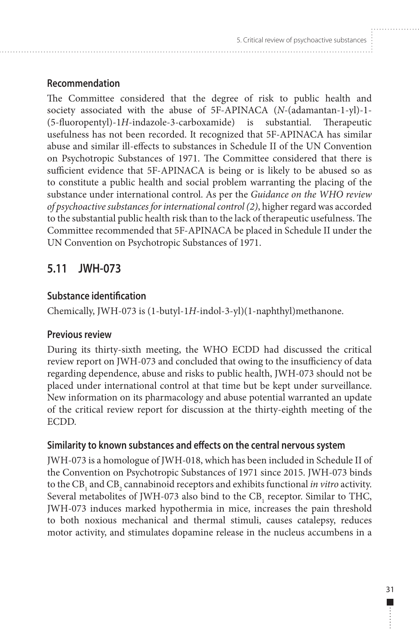## <span id="page-40-0"></span>**Recommendation**

The Committee considered that the degree of risk to public health and society associated with the abuse of 5F-APINACA (*N*-(adamantan-1-yl)-1- (5-fluoropentyl)-1*H*-indazole-3-carboxamide) is substantial. Therapeutic usefulness has not been recorded. It recognized that 5F-APINACA has similar abuse and similar ill-effects to substances in Schedule II of the UN Convention on Psychotropic Substances of 1971. The Committee considered that there is sufficient evidence that 5F-APINACA is being or is likely to be abused so as to constitute a public health and social problem warranting the placing of the substance under international control. As per the *Guidance on the WHO review of psychoactive substances for international control (2)*, higher regard was accorded to the substantial public health risk than to the lack of therapeutic usefulness. The Committee recommended that 5F-APINACA be placed in Schedule II under the UN Convention on Psychotropic Substances of 1971.

# **5.11 JWH-073**

## **Substance identification**

Chemically, JWH-073 is (1-butyl-1*H*-indol-3-yl)(1-naphthyl)methanone.

#### **Previous review**

During its thirty-sixth meeting, the WHO ECDD had discussed the critical review report on JWH-073 and concluded that owing to the insufficiency of data regarding dependence, abuse and risks to public health, JWH-073 should not be placed under international control at that time but be kept under surveillance. New information on its pharmacology and abuse potential warranted an update of the critical review report for discussion at the thirty-eighth meeting of the ECDD.

## **Similarity to known substances and effects on the central nervous system**

JWH-073 is a homologue of JWH-018, which has been included in Schedule II of the Convention on Psychotropic Substances of 1971 since 2015. JWH-073 binds to the  $\text{CB}_1$  and  $\text{CB}_2$  cannabinoid receptors and exhibits functional *in vitro* activity. Several metabolites of JWH-073 also bind to the  $CB_1$  receptor. Similar to THC, JWH-073 induces marked hypothermia in mice, increases the pain threshold to both noxious mechanical and thermal stimuli, causes catalepsy, reduces motor activity, and stimulates dopamine release in the nucleus accumbens in a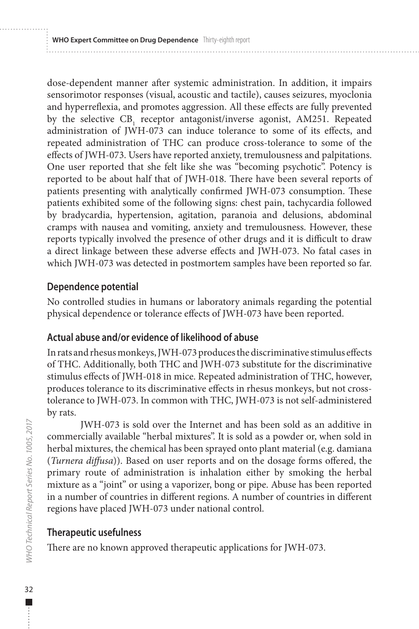dose-dependent manner after systemic administration. In addition, it impairs sensorimotor responses (visual, acoustic and tactile), causes seizures, myoclonia and hyperreflexia, and promotes aggression. All these effects are fully prevented by the selective  $CB_1$  receptor antagonist/inverse agonist, AM251. Repeated administration of JWH-073 can induce tolerance to some of its effects, and repeated administration of THC can produce cross-tolerance to some of the effects of JWH-073. Users have reported anxiety, tremulousness and palpitations. One user reported that she felt like she was "becoming psychotic". Potency is reported to be about half that of JWH-018. There have been several reports of patients presenting with analytically confirmed JWH-073 consumption. These patients exhibited some of the following signs: chest pain, tachycardia followed by bradycardia, hypertension, agitation, paranoia and delusions, abdominal cramps with nausea and vomiting, anxiety and tremulousness. However, these reports typically involved the presence of other drugs and it is difficult to draw a direct linkage between these adverse effects and JWH-073. No fatal cases in which JWH-073 was detected in postmortem samples have been reported so far.

#### **Dependence potential**

No controlled studies in humans or laboratory animals regarding the potential physical dependence or tolerance effects of JWH-073 have been reported.

#### **Actual abuse and/or evidence of likelihood of abuse**

In rats and rhesus monkeys, JWH-073 produces the discriminative stimulus effects of THC. Additionally, both THC and JWH-073 substitute for the discriminative stimulus effects of JWH-018 in mice. Repeated administration of THC, however, produces tolerance to its discriminative effects in rhesus monkeys, but not crosstolerance to JWH-073. In common with THC, JWH-073 is not self-administered by rats.

JWH-073 is sold over the Internet and has been sold as an additive in commercially available "herbal mixtures". It is sold as a powder or, when sold in herbal mixtures, the chemical has been sprayed onto plant material (e.g. damiana (*Turnera diffusa*)). Based on user reports and on the dosage forms offered, the primary route of administration is inhalation either by smoking the herbal mixture as a "joint" or using a vaporizer, bong or pipe. Abuse has been reported in a number of countries in different regions. A number of countries in different regions have placed JWH-073 under national control.

#### **Therapeutic usefulness**

There are no known approved therapeutic applications for JWH-073.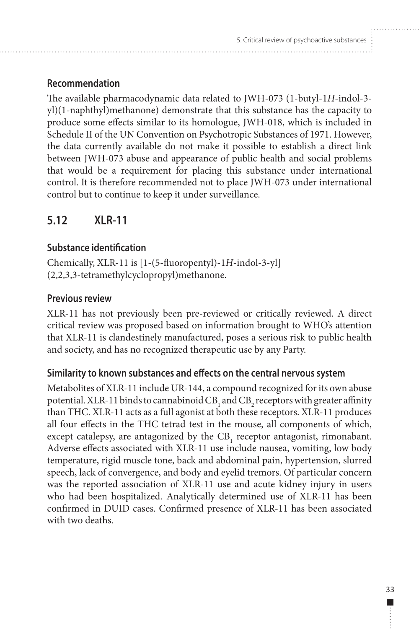## <span id="page-42-0"></span>**Recommendation**

The available pharmacodynamic data related to JWH-073 (1-butyl-1*H*-indol-3 yl)(1-naphthyl)methanone) demonstrate that this substance has the capacity to produce some effects similar to its homologue, JWH-018, which is included in Schedule II of the UN Convention on Psychotropic Substances of 1971. However, the data currently available do not make it possible to establish a direct link between JWH-073 abuse and appearance of public health and social problems that would be a requirement for placing this substance under international control. It is therefore recommended not to place JWH-073 under international control but to continue to keep it under surveillance.

# **5.12 XLR-11**

## **Substance identification**

Chemically, XLR-11 is [1-(5-fluoropentyl)-1*H*-indol-3-yl] (2,2,3,3-tetramethylcyclopropyl)methanone.

#### **Previous review**

XLR-11 has not previously been pre-reviewed or critically reviewed. A direct critical review was proposed based on information brought to WHO's attention that XLR-11 is clandestinely manufactured, poses a serious risk to public health and society, and has no recognized therapeutic use by any Party.

#### **Similarity to known substances and effects on the central nervous system**

Metabolites of XLR-11 include UR-144, a compound recognized for its own abuse potential. XLR-11 binds to cannabinoid  $CB_1$  and  $CB_2$  receptors with greater affinity than THC. XLR-11 acts as a full agonist at both these receptors. XLR-11 produces all four effects in the THC tetrad test in the mouse, all components of which, except catalepsy, are antagonized by the  $CB_1$  receptor antagonist, rimonabant. Adverse effects associated with XLR-11 use include nausea, vomiting, low body temperature, rigid muscle tone, back and abdominal pain, hypertension, slurred speech, lack of convergence, and body and eyelid tremors. Of particular concern was the reported association of XLR-11 use and acute kidney injury in users who had been hospitalized. Analytically determined use of XLR-11 has been confirmed in DUID cases. Confirmed presence of XLR-11 has been associated with two deaths.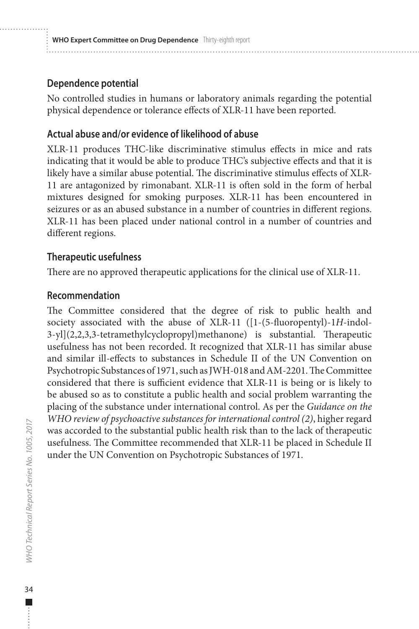#### **Dependence potential**

No controlled studies in humans or laboratory animals regarding the potential physical dependence or tolerance effects of XLR-11 have been reported.

#### **Actual abuse and/or evidence of likelihood of abuse**

XLR-11 produces THC-like discriminative stimulus effects in mice and rats indicating that it would be able to produce THC's subjective effects and that it is likely have a similar abuse potential. The discriminative stimulus effects of XLR-11 are antagonized by rimonabant. XLR-11 is often sold in the form of herbal mixtures designed for smoking purposes. XLR-11 has been encountered in seizures or as an abused substance in a number of countries in different regions. XLR-11 has been placed under national control in a number of countries and different regions.

#### **Therapeutic usefulness**

There are no approved therapeutic applications for the clinical use of XLR-11.

#### **Recommendation**

The Committee considered that the degree of risk to public health and society associated with the abuse of XLR-11 ([1-(5-fluoropentyl)-1*H*-indol-3-yl](2,2,3,3-tetramethylcyclopropyl)methanone) is substantial. Therapeutic usefulness has not been recorded. It recognized that XLR-11 has similar abuse and similar ill-effects to substances in Schedule II of the UN Convention on Psychotropic Substances of 1971, such as JWH-018 and AM-2201. The Committee considered that there is sufficient evidence that XLR-11 is being or is likely to be abused so as to constitute a public health and social problem warranting the placing of the substance under international control. As per the *Guidance on the WHO review of psychoactive substances for international control (2)*, higher regard was accorded to the substantial public health risk than to the lack of therapeutic usefulness. The Committee recommended that XLR-11 be placed in Schedule II under the UN Convention on Psychotropic Substances of 1971.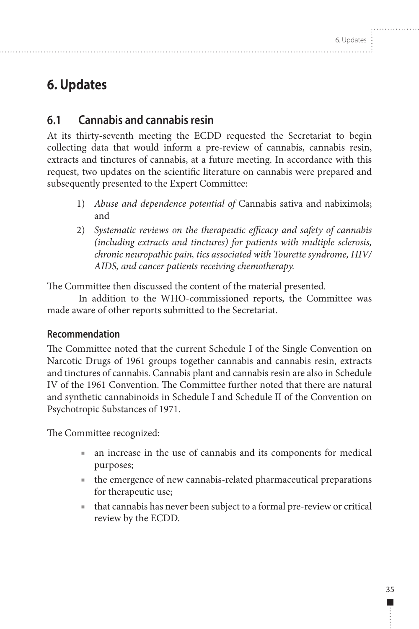# <span id="page-44-0"></span>**6. Updates**

# **6.1 Cannabis and cannabis resin**

At its thirty-seventh meeting the ECDD requested the Secretariat to begin collecting data that would inform a pre-review of cannabis, cannabis resin, extracts and tinctures of cannabis, at a future meeting. In accordance with this request, two updates on the scientific literature on cannabis were prepared and subsequently presented to the Expert Committee:

- 1) *Abuse and dependence potential of* Cannabis sativa and nabiximols; and
- 2) *Systematic reviews on the therapeutic efficacy and safety of cannabis (including extracts and tinctures) for patients with multiple sclerosis, chronic neuropathic pain, tics associated with Tourette syndrome, HIV/ AIDS, and cancer patients receiving chemotherapy.*

The Committee then discussed the content of the material presented.

In addition to the WHO-commissioned reports, the Committee was made aware of other reports submitted to the Secretariat.

# **Recommendation**

The Committee noted that the current Schedule I of the Single Convention on Narcotic Drugs of 1961 groups together cannabis and cannabis resin, extracts and tinctures of cannabis. Cannabis plant and cannabis resin are also in Schedule IV of the 1961 Convention. The Committee further noted that there are natural and synthetic cannabinoids in Schedule I and Schedule II of the Convention on Psychotropic Substances of 1971.

The Committee recognized:

- an increase in the use of cannabis and its components for medical purposes;
- the emergence of new cannabis-related pharmaceutical preparations for therapeutic use;
- that cannabis has never been subject to a formal pre-review or critical review by the ECDD.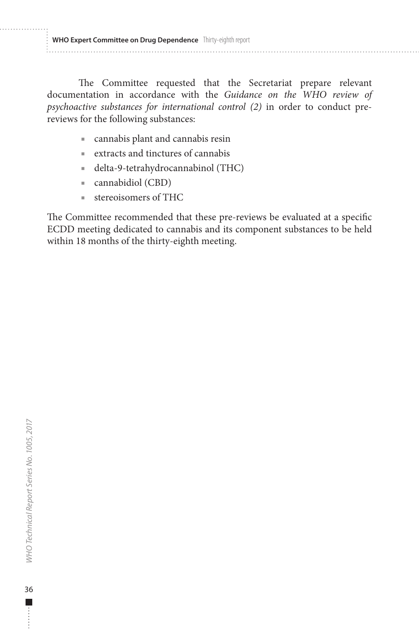**WHO Expert Committee on Drug Dependence** Thirty-eighth report

The Committee requested that the Secretariat prepare relevant documentation in accordance with the *Guidance on the WHO review of psychoactive substances for international control (2)* in order to conduct prereviews for the following substances:

- cannabis plant and cannabis resin
- extracts and tinctures of cannabis
- delta-9-tetrahydrocannabinol (THC)
- cannabidiol (CBD)
- stereoisomers of THC

The Committee recommended that these pre-reviews be evaluated at a specific ECDD meeting dedicated to cannabis and its component substances to be held within 18 months of the thirty-eighth meeting.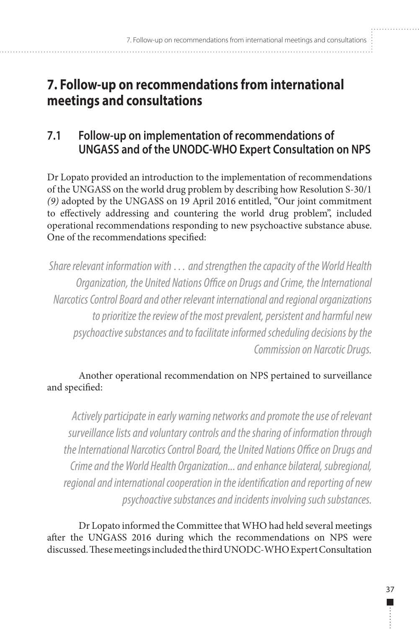# <span id="page-46-0"></span>**7. Follow-up on recommendations from international meetings and consultations**

# **7.1 Follow-up on implementation of recommendations of UNGASS and of the UNODC-WHO Expert Consultation on NPS**

Dr Lopato provided an introduction to the implementation of recommendations of the UNGASS on the world drug problem by describing how Resolution S-30/1 *(9)* adopted by the UNGASS on 19 April 2016 entitled, "Our joint commitment to effectively addressing and countering the world drug problem", included operational recommendations responding to new psychoactive substance abuse. One of the recommendations specified:

*Share relevant information with … and strengthen the capacity of the World Health Organization, the United Nations Office on Drugs and Crime, the International Narcotics Control Board and other relevant international and regional organizations to prioritize the review of the most prevalent, persistent and harmful new psychoactive substances and to facilitate informed scheduling decisions by the Commission on Narcotic Drugs.* 

## Another operational recommendation on NPS pertained to surveillance and specified:

*Actively participate in early warning networks and promote the use of relevant surveillance lists and voluntary controls and the sharing of information through the International Narcotics Control Board, the United Nations Office on Drugs and Crime and the World Health Organization... and enhance bilateral, subregional, regional and international cooperation in the identification and reporting of new psychoactive substances and incidents involving such substances.*

Dr Lopato informed the Committee that WHO had held several meetings after the UNGASS 2016 during which the recommendations on NPS were discussed. These meetings included the third UNODC-WHO Expert Consultation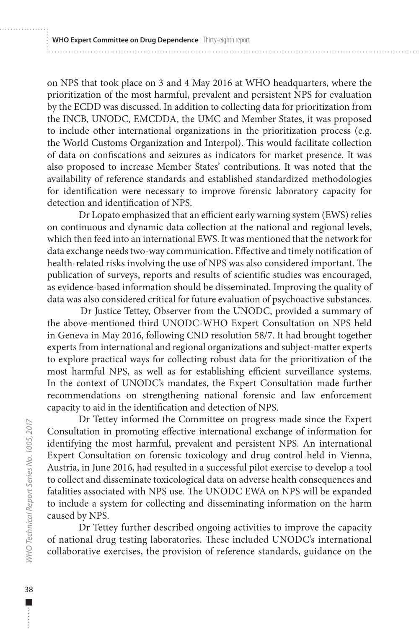on NPS that took place on 3 and 4 May 2016 at WHO headquarters, where the prioritization of the most harmful, prevalent and persistent NPS for evaluation by the ECDD was discussed. In addition to collecting data for prioritization from the INCB, UNODC, EMCDDA, the UMC and Member States, it was proposed to include other international organizations in the prioritization process (e.g. the World Customs Organization and Interpol). This would facilitate collection of data on confiscations and seizures as indicators for market presence. It was also proposed to increase Member States' contributions. It was noted that the availability of reference standards and established standardized methodologies for identification were necessary to improve forensic laboratory capacity for detection and identification of NPS.

Dr Lopato emphasized that an efficient early warning system (EWS) relies on continuous and dynamic data collection at the national and regional levels, which then feed into an international EWS. It was mentioned that the network for data exchange needs two-way communication. Effective and timely notification of health-related risks involving the use of NPS was also considered important. The publication of surveys, reports and results of scientific studies was encouraged, as evidence-based information should be disseminated. Improving the quality of data was also considered critical for future evaluation of psychoactive substances.

Dr Justice Tettey, Observer from the UNODC, provided a summary of the above-mentioned third UNODC-WHO Expert Consultation on NPS held in Geneva in May 2016, following CND resolution 58/7. It had brought together experts from international and regional organizations and subject-matter experts to explore practical ways for collecting robust data for the prioritization of the most harmful NPS, as well as for establishing efficient surveillance systems. In the context of UNODC's mandates, the Expert Consultation made further recommendations on strengthening national forensic and law enforcement capacity to aid in the identification and detection of NPS.

Dr Tettey informed the Committee on progress made since the Expert Consultation in promoting effective international exchange of information for identifying the most harmful, prevalent and persistent NPS. An international Expert Consultation on forensic toxicology and drug control held in Vienna, Austria, in June 2016, had resulted in a successful pilot exercise to develop a tool to collect and disseminate toxicological data on adverse health consequences and fatalities associated with NPS use. The UNODC EWA on NPS will be expanded to include a system for collecting and disseminating information on the harm caused by NPS.

Dr Tettey further described ongoing activities to improve the capacity of national drug testing laboratories. These included UNODC's international collaborative exercises, the provision of reference standards, guidance on the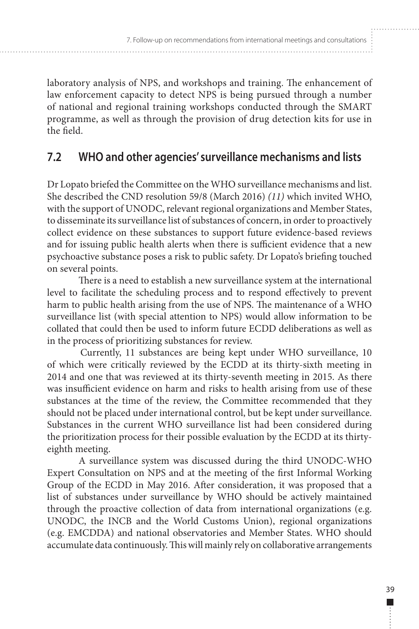<span id="page-48-0"></span>laboratory analysis of NPS, and workshops and training. The enhancement of law enforcement capacity to detect NPS is being pursued through a number of national and regional training workshops conducted through the SMART programme, as well as through the provision of drug detection kits for use in the field.

# **7.2 WHO and other agencies' surveillance mechanisms and lists**

Dr Lopato briefed the Committee on the WHO surveillance mechanisms and list. She described the CND resolution 59/8 (March 2016) *(11)* which invited WHO, with the support of UNODC, relevant regional organizations and Member States, to disseminate its surveillance list of substances of concern, in order to proactively collect evidence on these substances to support future evidence-based reviews and for issuing public health alerts when there is sufficient evidence that a new psychoactive substance poses a risk to public safety. Dr Lopato's briefing touched on several points.

There is a need to establish a new surveillance system at the international level to facilitate the scheduling process and to respond effectively to prevent harm to public health arising from the use of NPS. The maintenance of a WHO surveillance list (with special attention to NPS) would allow information to be collated that could then be used to inform future ECDD deliberations as well as in the process of prioritizing substances for review.

Currently, 11 substances are being kept under WHO surveillance, 10 of which were critically reviewed by the ECDD at its thirty-sixth meeting in 2014 and one that was reviewed at its thirty-seventh meeting in 2015. As there was insufficient evidence on harm and risks to health arising from use of these substances at the time of the review, the Committee recommended that they should not be placed under international control, but be kept under surveillance. Substances in the current WHO surveillance list had been considered during the prioritization process for their possible evaluation by the ECDD at its thirtyeighth meeting.

A surveillance system was discussed during the third UNODC-WHO Expert Consultation on NPS and at the meeting of the first Informal Working Group of the ECDD in May 2016. After consideration, it was proposed that a list of substances under surveillance by WHO should be actively maintained through the proactive collection of data from international organizations (e.g. UNODC, the INCB and the World Customs Union), regional organizations (e.g. EMCDDA) and national observatories and Member States. WHO should accumulate data continuously. This will mainly rely on collaborative arrangements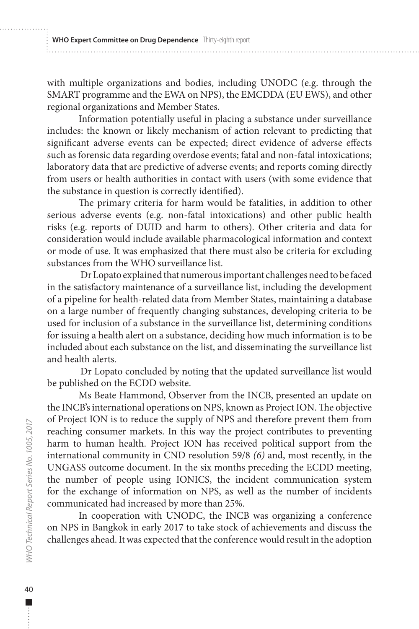with multiple organizations and bodies, including UNODC (e.g. through the SMART programme and the EWA on NPS), the EMCDDA (EU EWS), and other regional organizations and Member States.

Information potentially useful in placing a substance under surveillance includes: the known or likely mechanism of action relevant to predicting that significant adverse events can be expected; direct evidence of adverse effects such as forensic data regarding overdose events; fatal and non-fatal intoxications; laboratory data that are predictive of adverse events; and reports coming directly from users or health authorities in contact with users (with some evidence that the substance in question is correctly identified).

The primary criteria for harm would be fatalities, in addition to other serious adverse events (e.g. non-fatal intoxications) and other public health risks (e.g. reports of DUID and harm to others). Other criteria and data for consideration would include available pharmacological information and context or mode of use. It was emphasized that there must also be criteria for excluding substances from the WHO surveillance list.

Dr Lopato explained that numerous important challenges need to be faced in the satisfactory maintenance of a surveillance list, including the development of a pipeline for health-related data from Member States, maintaining a database on a large number of frequently changing substances, developing criteria to be used for inclusion of a substance in the surveillance list, determining conditions for issuing a health alert on a substance, deciding how much information is to be included about each substance on the list, and disseminating the surveillance list and health alerts.

Dr Lopato concluded by noting that the updated surveillance list would be published on the ECDD website.

Ms Beate Hammond, Observer from the INCB, presented an update on the INCB's international operations on NPS, known as Project ION. The objective of Project ION is to reduce the supply of NPS and therefore prevent them from reaching consumer markets. In this way the project contributes to preventing harm to human health. Project ION has received political support from the international community in CND resolution 59/8 *(6)* and, most recently, in the UNGASS outcome document. In the six months preceding the ECDD meeting, the number of people using IONICS, the incident communication system for the exchange of information on NPS, as well as the number of incidents communicated had increased by more than 25%.

In cooperation with UNODC, the INCB was organizing a conference on NPS in Bangkok in early 2017 to take stock of achievements and discuss the challenges ahead. It was expected that the conference would result in the adoption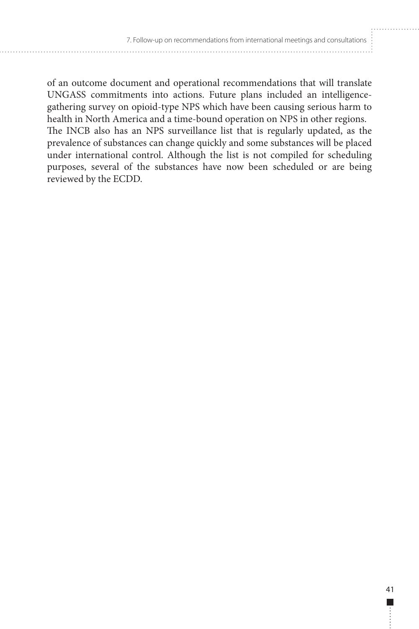of an outcome document and operational recommendations that will translate UNGASS commitments into actions. Future plans included an intelligencegathering survey on opioid-type NPS which have been causing serious harm to health in North America and a time-bound operation on NPS in other regions. The INCB also has an NPS surveillance list that is regularly updated, as the prevalence of substances can change quickly and some substances will be placed under international control. Although the list is not compiled for scheduling purposes, several of the substances have now been scheduled or are being reviewed by the ECDD.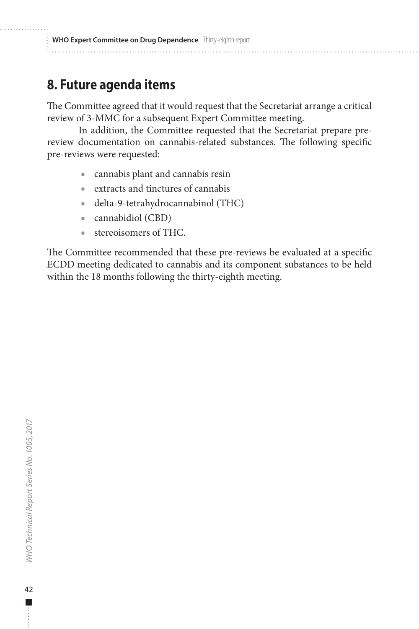# <span id="page-51-0"></span>**8. Future agenda items**

The Committee agreed that it would request that the Secretariat arrange a critical review of 3-MMC for a subsequent Expert Committee meeting.

In addition, the Committee requested that the Secretariat prepare prereview documentation on cannabis-related substances. The following specific pre-reviews were requested:

- cannabis plant and cannabis resin
- extracts and tinctures of cannabis
- delta-9-tetrahydrocannabinol (THC)
- cannabidiol (CBD)
- stereoisomers of THC.

The Committee recommended that these pre-reviews be evaluated at a specific ECDD meeting dedicated to cannabis and its component substances to be held within the 18 months following the thirty-eighth meeting.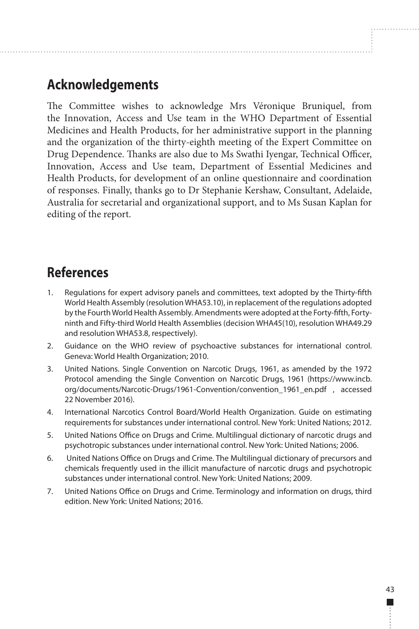# <span id="page-52-0"></span>**Acknowledgements**

The Committee wishes to acknowledge Mrs Véronique Bruniquel, from the Innovation, Access and Use team in the WHO Department of Essential Medicines and Health Products, for her administrative support in the planning and the organization of the thirty-eighth meeting of the Expert Committee on Drug Dependence. Thanks are also due to Ms Swathi Iyengar, Technical Officer, Innovation, Access and Use team, Department of Essential Medicines and Health Products, for development of an online questionnaire and coordination of responses. Finally, thanks go to Dr Stephanie Kershaw, Consultant, Adelaide, Australia for secretarial and organizational support, and to Ms Susan Kaplan for editing of the report.

# **References**

- 1. Regulations for expert advisory panels and committees, text adopted by the Thirty-fifth World Health Assembly (resolution WHA53.10), in replacement of the regulations adopted by the Fourth World Health Assembly. Amendments were adopted at the Forty-fifth, Fortyninth and Fifty-third World Health Assemblies (decision WHA45(10), resolution WHA49.29 and resolution WHA53.8, respectively).
- 2. Guidance on the WHO review of psychoactive substances for international control. Geneva: World Health Organization; 2010.
- 3. United Nations. Single Convention on Narcotic Drugs, 1961, as amended by the 1972 Protocol amending the Single Convention on Narcotic Drugs, 1961 (https://www.incb. org/documents/Narcotic-Drugs/1961-Convention/convention\_1961\_en.pdf , accessed 22 November 2016).
- 4. International Narcotics Control Board/World Health Organization. Guide on estimating requirements for substances under international control. New York: United Nations; 2012.
- 5. United Nations Office on Drugs and Crime. Multilingual dictionary of narcotic drugs and psychotropic substances under international control. New York: United Nations; 2006.
- 6. United Nations Office on Drugs and Crime. The Multilingual dictionary of precursors and chemicals frequently used in the illicit manufacture of narcotic drugs and psychotropic substances under international control. New York: United Nations; 2009.
- 7. United Nations Office on Drugs and Crime. Terminology and information on drugs, third edition. New York: United Nations; 2016.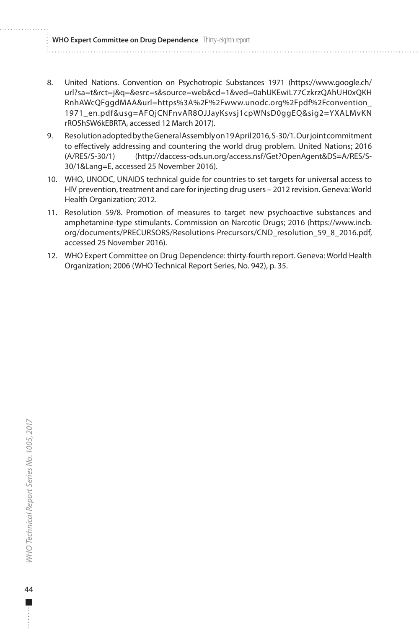<span id="page-53-0"></span>**WHO Expert Committee on Drug Dependence** Thirty-eighth report

- 8. United Nations. Convention on Psychotropic Substances 1971 (https://www.google.ch/ url?sa=t&rct=j&q=&esrc=s&source=web&cd=1&ved=0ahUKEwiL77CzkrzQAhUH0xQKH RnhAWcQFggdMAA&url=https%3A%2F%2Fwww.unodc.org%2Fpdf%2Fconvention\_ 1971\_en.pdf&usg=AFQjCNFnvAR8OJJayKsvsj1cpWNsD0ggEQ&sig2=YXALMvKN rRO5hSW6kEBRTA, accessed 12 March 2017).
- 9. Resolution adopted by the General Assembly on 19 April 2016, S-30/1. Our joint commitment to effectively addressing and countering the world drug problem. United Nations; 2016 (A/RES/S-30/1) (http://daccess-ods.un.org/access.nsf/Get?OpenAgent&DS=A/RES/S-30/1&Lang=E, accessed 25 November 2016).
- 10. WHO, UNODC, UNAIDS technical guide for countries to set targets for universal access to HIV prevention, treatment and care for injecting drug users – 2012 revision. Geneva: World Health Organization; 2012.
- 11. Resolution 59/8. Promotion of measures to target new psychoactive substances and amphetamine-type stimulants. Commission on Narcotic Drugs; 2016 (https://www.incb. org/documents/PRECURSORS/Resolutions-Precursors/CND\_resolution\_59\_8\_2016.pdf, accessed 25 November 2016).
- 12. WHO Expert Committee on Drug Dependence: thirty-fourth report. Geneva: World Health Organization; 2006 (WHO Technical Report Series, No. 942), p. 35.

Г.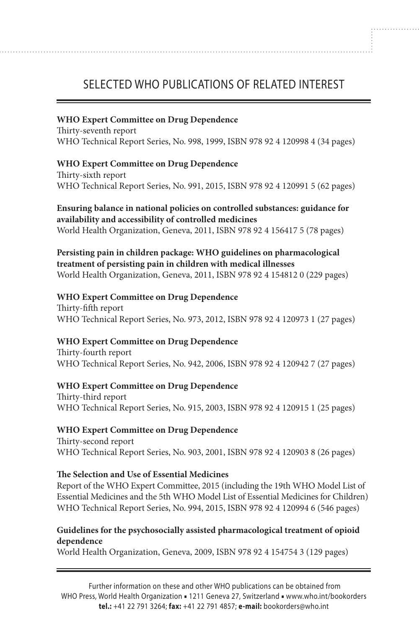# SELECTED WHO PUBLICATIONS OF RELATED INTEREST

#### **WHO Expert Committee on Drug Dependence**

Thirty-seventh report WHO Technical Report Series, No. 998, 1999, ISBN 978 92 4 120998 4 (34 pages)

#### **WHO Expert Committee on Drug Dependence**

Thirty-sixth report WHO Technical Report Series, No. 991, 2015, ISBN 978 92 4 120991 5 (62 pages)

**Ensuring balance in national policies on controlled substances: guidance for availability and accessibility of controlled medicines** World Health Organization, Geneva, 2011, ISBN 978 92 4 156417 5 (78 pages)

#### **Persisting pain in children package: WHO guidelines on pharmacological treatment of persisting pain in children with medical illnesses** World Health Organization, Geneva, 2011, ISBN 978 92 4 154812 0 (229 pages)

#### **WHO Expert Committee on Drug Dependence**

Thirty-fifth report WHO Technical Report Series, No. 973, 2012, ISBN 978 92 4 120973 1 (27 pages)

#### **WHO Expert Committee on Drug Dependence**

Thirty-fourth report WHO Technical Report Series, No. 942, 2006, ISBN 978 92 4 120942 7 (27 pages)

#### **WHO Expert Committee on Drug Dependence**

Thirty-third report WHO Technical Report Series, No. 915, 2003, ISBN 978 92 4 120915 1 (25 pages)

#### **WHO Expert Committee on Drug Dependence**

Thirty-second report WHO Technical Report Series, No. 903, 2001, ISBN 978 92 4 120903 8 (26 pages)

#### **The Selection and Use of Essential Medicines**

Report of the WHO Expert Committee, 2015 (including the 19th WHO Model List of Essential Medicines and the 5th WHO Model List of Essential Medicines for Children) WHO Technical Report Series, No. 994, 2015, ISBN 978 92 4 120994 6 (546 pages)

#### **Guidelines for the psychosocially assisted pharmacological treatment of opioid dependence**

World Health Organization, Geneva, 2009, ISBN 978 92 4 154754 3 (129 pages)